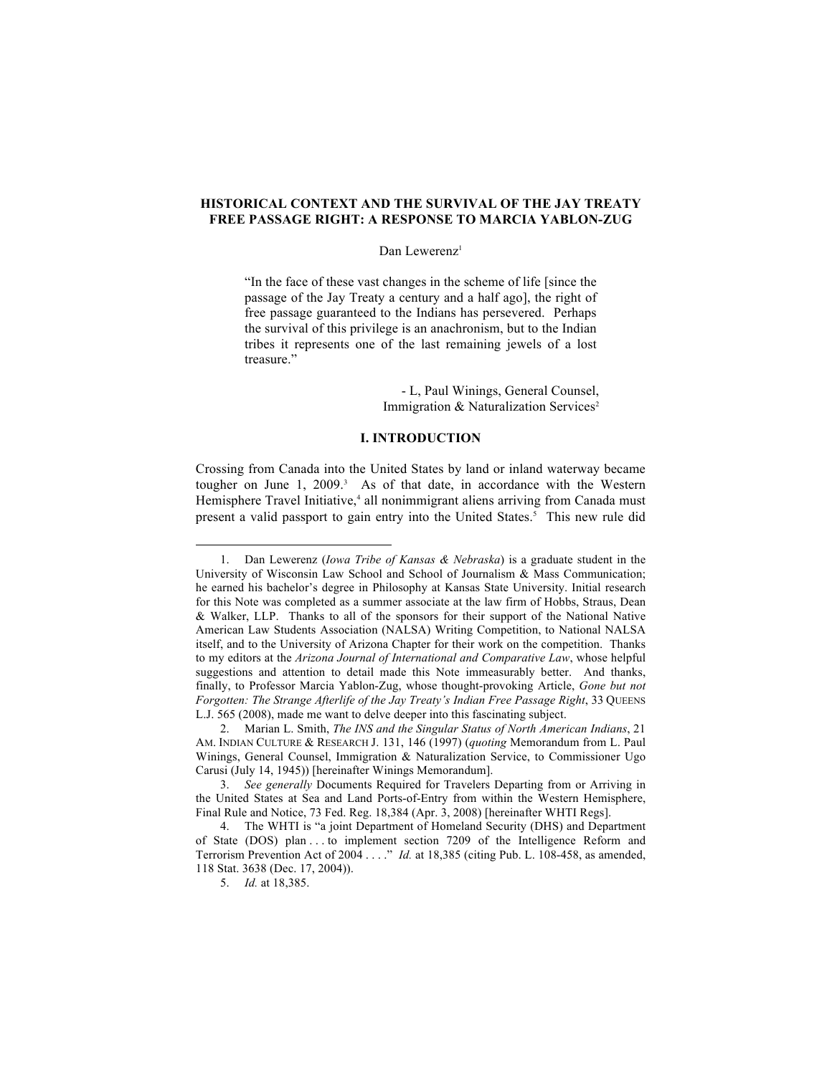# **HISTORICAL CONTEXT AND THE SURVIVAL OF THE JAY TREATY FREE PASSAGE RIGHT: A RESPONSE TO MARCIA YABLON-ZUG**

#### Dan Lewerenz<sup>1</sup>

"In the face of these vast changes in the scheme of life [since the passage of the Jay Treaty a century and a half ago], the right of free passage guaranteed to the Indians has persevered. Perhaps the survival of this privilege is an anachronism, but to the Indian tribes it represents one of the last remaining jewels of a lost treasure."

> - L, Paul Winings, General Counsel, Immigration  $& Naturalization Services<sup>2</sup>$

## **I. INTRODUCTION**

Crossing from Canada into the United States by land or inland waterway became tougher on June  $1, 2009$ <sup>3</sup> As of that date, in accordance with the Western Hemisphere Travel Initiative,<sup>4</sup> all nonimmigrant aliens arriving from Canada must present a valid passport to gain entry into the United States.<sup>5</sup> This new rule did

<sup>1.</sup> Dan Lewerenz (*Iowa Tribe of Kansas & Nebraska*) is a graduate student in the University of Wisconsin Law School and School of Journalism & Mass Communication; he earned his bachelor's degree in Philosophy at Kansas State University. Initial research for this Note was completed as a summer associate at the law firm of Hobbs, Straus, Dean & Walker, LLP. Thanks to all of the sponsors for their support of the National Native American Law Students Association (NALSA) Writing Competition, to National NALSA itself, and to the University of Arizona Chapter for their work on the competition. Thanks to my editors at the *Arizona Journal of International and Comparative Law*, whose helpful suggestions and attention to detail made this Note immeasurably better. And thanks, finally, to Professor Marcia Yablon-Zug, whose thought-provoking Article, *Gone but not Forgotten: The Strange Afterlife of the Jay Treaty's Indian Free Passage Right*, 33 QUEENS L.J. 565 (2008), made me want to delve deeper into this fascinating subject.

<sup>2.</sup> Marian L. Smith, *The INS and the Singular Status of North American Indians*, 21 AM. INDIAN CULTURE & RESEARCH J. 131, 146 (1997) (*quoting* Memorandum from L. Paul Winings, General Counsel, Immigration & Naturalization Service, to Commissioner Ugo Carusi (July 14, 1945)) [hereinafter Winings Memorandum].

<sup>3.</sup> *See generally* Documents Required for Travelers Departing from or Arriving in the United States at Sea and Land Ports-of-Entry from within the Western Hemisphere, Final Rule and Notice, 73 Fed. Reg. 18,384 (Apr. 3, 2008) [hereinafter WHTI Regs].

<sup>4.</sup> The WHTI is "a joint Department of Homeland Security (DHS) and Department of State (DOS) plan . . . to implement section 7209 of the Intelligence Reform and Terrorism Prevention Act of 2004 . . . ." *Id.* at 18,385 (citing Pub. L. 108-458, as amended, 118 Stat. 3638 (Dec. 17, 2004)).

<sup>5.</sup> *Id.* at 18,385.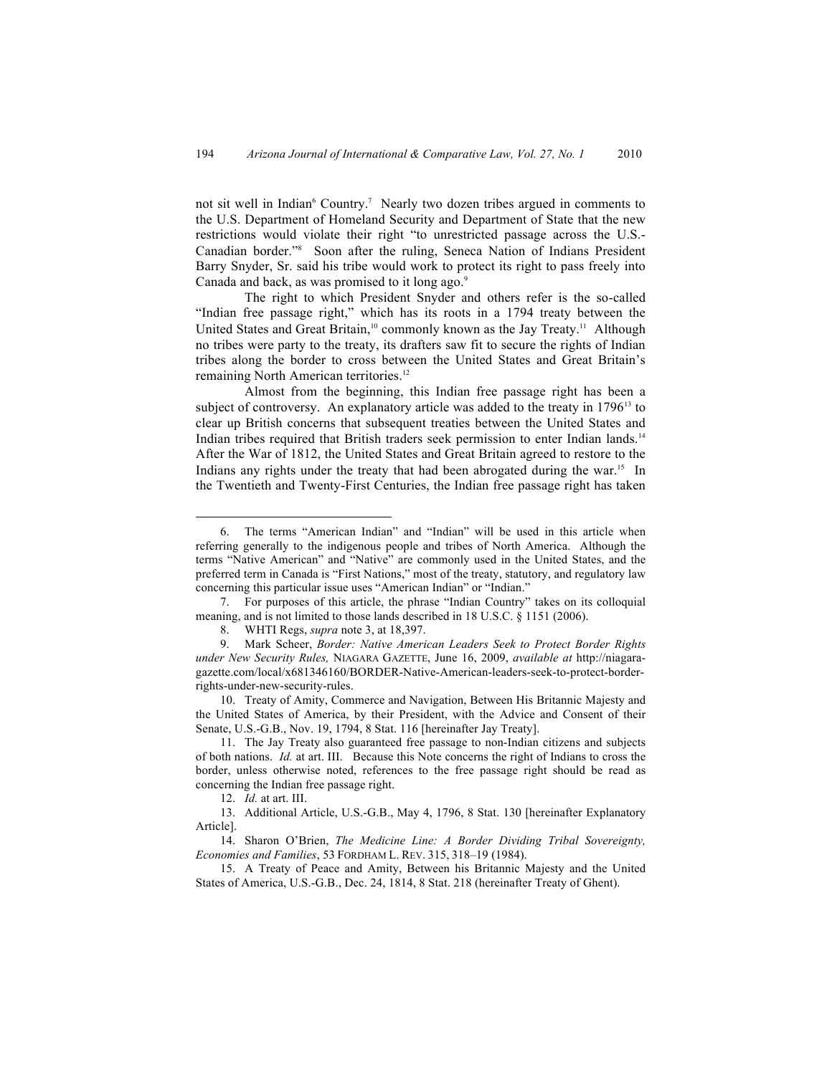not sit well in Indian<sup>6</sup> Country.<sup>7</sup> Nearly two dozen tribes argued in comments to the U.S. Department of Homeland Security and Department of State that the new restrictions would violate their right "to unrestricted passage across the U.S.- Canadian border."<sup>8</sup> Soon after the ruling, Seneca Nation of Indians President Barry Snyder, Sr. said his tribe would work to protect its right to pass freely into Canada and back, as was promised to it long ago.<sup>9</sup>

The right to which President Snyder and others refer is the so-called "Indian free passage right," which has its roots in a 1794 treaty between the United States and Great Britain,<sup>10</sup> commonly known as the Jay Treaty.<sup>11</sup> Although no tribes were party to the treaty, its drafters saw fit to secure the rights of Indian tribes along the border to cross between the United States and Great Britain's remaining North American territories.<sup>12</sup>

Almost from the beginning, this Indian free passage right has been a subject of controversy. An explanatory article was added to the treaty in 1796<sup>13</sup> to clear up British concerns that subsequent treaties between the United States and Indian tribes required that British traders seek permission to enter Indian lands.<sup>14</sup> After the War of 1812, the United States and Great Britain agreed to restore to the Indians any rights under the treaty that had been abrogated during the war.<sup>15</sup> In the Twentieth and Twenty-First Centuries, the Indian free passage right has taken

10. Treaty of Amity, Commerce and Navigation, Between His Britannic Majesty and the United States of America, by their President, with the Advice and Consent of their Senate, U.S.-G.B., Nov. 19, 1794, 8 Stat. 116 [hereinafter Jay Treaty].

<sup>6.</sup> The terms "American Indian" and "Indian" will be used in this article when referring generally to the indigenous people and tribes of North America. Although the terms "Native American" and "Native" are commonly used in the United States, and the preferred term in Canada is "First Nations," most of the treaty, statutory, and regulatory law concerning this particular issue uses "American Indian" or "Indian."

<sup>7.</sup> For purposes of this article, the phrase "Indian Country" takes on its colloquial meaning, and is not limited to those lands described in 18 U.S.C. § 1151 (2006).

<sup>8.</sup> WHTI Regs, *supra* note 3, at 18,397.

<sup>9.</sup> Mark Scheer, *Border: Native American Leaders Seek to Protect Border Rights under New Security Rules,* NIAGARA GAZETTE, June 16, 2009, *available at* http://niagaragazette.com/local/x681346160/BORDER-Native-American-leaders-seek-to-protect-borderrights-under-new-security-rules.

<sup>11.</sup> The Jay Treaty also guaranteed free passage to non-Indian citizens and subjects of both nations. *Id.* at art. III. Because this Note concerns the right of Indians to cross the border, unless otherwise noted, references to the free passage right should be read as concerning the Indian free passage right.

<sup>12.</sup> *Id.* at art. III.

<sup>13.</sup> Additional Article, U.S.-G.B., May 4, 1796, 8 Stat. 130 [hereinafter Explanatory Article].

<sup>14.</sup> Sharon O'Brien, *The Medicine Line: A Border Dividing Tribal Sovereignty, Economies and Families*, 53 FORDHAM L. REV. 315, 318–19 (1984).

<sup>15.</sup> A Treaty of Peace and Amity, Between his Britannic Majesty and the United States of America, U.S.-G.B., Dec. 24, 1814, 8 Stat. 218 (hereinafter Treaty of Ghent).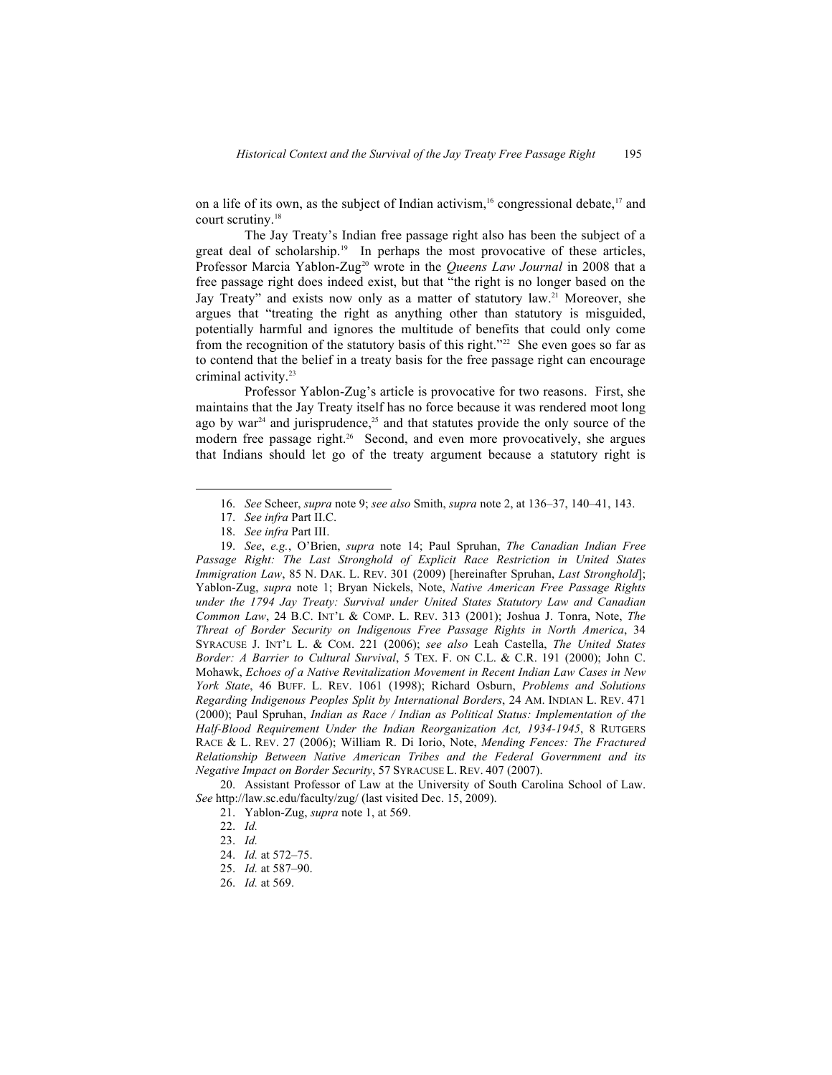on a life of its own, as the subject of Indian activism,<sup>16</sup> congressional debate,<sup>17</sup> and court scrutiny.<sup>18</sup>

The Jay Treaty's Indian free passage right also has been the subject of a great deal of scholarship.19 In perhaps the most provocative of these articles, Professor Marcia Yablon-Zug<sup>20</sup> wrote in the *Queens Law Journal* in 2008 that a free passage right does indeed exist, but that "the right is no longer based on the Jay Treaty" and exists now only as a matter of statutory law.<sup>21</sup> Moreover, she argues that "treating the right as anything other than statutory is misguided, potentially harmful and ignores the multitude of benefits that could only come from the recognition of the statutory basis of this right."<sup>22</sup> She even goes so far as to contend that the belief in a treaty basis for the free passage right can encourage criminal activity.<sup>23</sup>

Professor Yablon-Zug's article is provocative for two reasons. First, she maintains that the Jay Treaty itself has no force because it was rendered moot long ago by war $^{24}$  and jurisprudence, $^{25}$  and that statutes provide the only source of the modern free passage right.<sup>26</sup> Second, and even more provocatively, she argues that Indians should let go of the treaty argument because a statutory right is

19. *See*, *e.g.*, O'Brien, *supra* note 14; Paul Spruhan, *The Canadian Indian Free Passage Right: The Last Stronghold of Explicit Race Restriction in United States Immigration Law*, 85 N. DAK. L. REV. 301 (2009) [hereinafter Spruhan, *Last Stronghold*]; Yablon-Zug, *supra* note 1; Bryan Nickels, Note, *Native American Free Passage Rights under the 1794 Jay Treaty: Survival under United States Statutory Law and Canadian Common Law*, 24 B.C. INT'L & COMP. L. REV. 313 (2001); Joshua J. Tonra, Note, *The Threat of Border Security on Indigenous Free Passage Rights in North America*, 34 SYRACUSE J. INT'L L. & COM. 221 (2006); *see also* Leah Castella, *The United States Border: A Barrier to Cultural Survival*, 5 TEX. F. ON C.L. & C.R. 191 (2000); John C. Mohawk, *Echoes of a Native Revitalization Movement in Recent Indian Law Cases in New York State*, 46 BUFF. L. REV. 1061 (1998); Richard Osburn, *Problems and Solutions Regarding Indigenous Peoples Split by International Borders*, 24 AM. INDIAN L. REV. 471 (2000); Paul Spruhan, *Indian as Race / Indian as Political Status: Implementation of the Half-Blood Requirement Under the Indian Reorganization Act, 1934-1945*, 8 RUTGERS RACE & L. REV. 27 (2006); William R. Di Iorio, Note, *Mending Fences: The Fractured Relationship Between Native American Tribes and the Federal Government and its Negative Impact on Border Security*, 57 SYRACUSE L. REV. 407 (2007).

20. Assistant Professor of Law at the University of South Carolina School of Law. *See* http://law.sc.edu/faculty/zug/ (last visited Dec. 15, 2009).

<sup>16.</sup> *See* Scheer, *supra* note 9; *see also* Smith, *supra* note 2, at 136–37, 140–41, 143.

<sup>17.</sup> *See infra* Part II.C.

<sup>18.</sup> *See infra* Part III.

<sup>21.</sup> Yablon-Zug, *supra* note 1, at 569.

<sup>22.</sup> *Id.*

<sup>23.</sup> *Id.*

<sup>24.</sup> *Id.* at 572–75.

<sup>25.</sup> *Id.* at 587–90.

<sup>26.</sup> *Id.* at 569.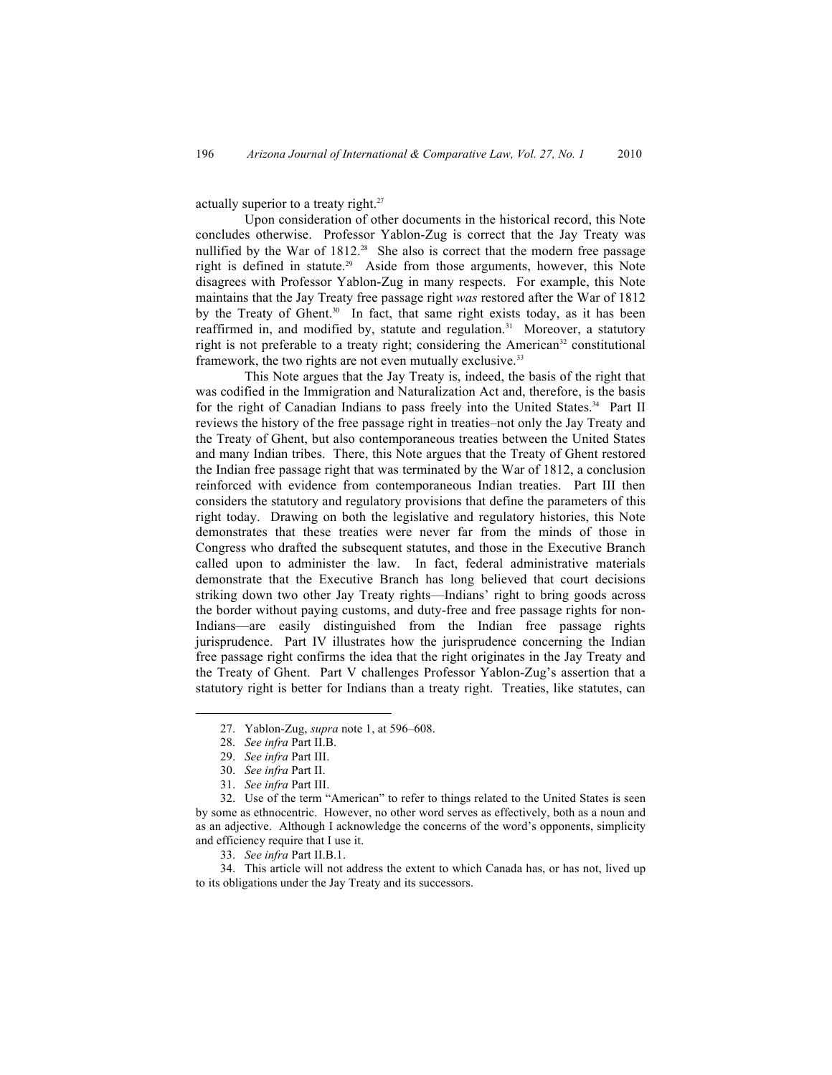actually superior to a treaty right.<sup>27</sup>

Upon consideration of other documents in the historical record, this Note concludes otherwise. Professor Yablon-Zug is correct that the Jay Treaty was nullified by the War of 1812.<sup>28</sup> She also is correct that the modern free passage right is defined in statute.<sup>29</sup> Aside from those arguments, however, this Note disagrees with Professor Yablon-Zug in many respects. For example, this Note maintains that the Jay Treaty free passage right *was* restored after the War of 1812 by the Treaty of Ghent.<sup>30</sup> In fact, that same right exists today, as it has been reaffirmed in, and modified by, statute and regulation.<sup>31</sup> Moreover, a statutory right is not preferable to a treaty right; considering the American<sup>32</sup> constitutional framework, the two rights are not even mutually exclusive.<sup>33</sup>

This Note argues that the Jay Treaty is, indeed, the basis of the right that was codified in the Immigration and Naturalization Act and, therefore, is the basis for the right of Canadian Indians to pass freely into the United States.<sup>34</sup> Part II reviews the history of the free passage right in treaties–not only the Jay Treaty and the Treaty of Ghent, but also contemporaneous treaties between the United States and many Indian tribes. There, this Note argues that the Treaty of Ghent restored the Indian free passage right that was terminated by the War of 1812, a conclusion reinforced with evidence from contemporaneous Indian treaties. Part III then considers the statutory and regulatory provisions that define the parameters of this right today. Drawing on both the legislative and regulatory histories, this Note demonstrates that these treaties were never far from the minds of those in Congress who drafted the subsequent statutes, and those in the Executive Branch called upon to administer the law. In fact, federal administrative materials demonstrate that the Executive Branch has long believed that court decisions striking down two other Jay Treaty rights—Indians' right to bring goods across the border without paying customs, and duty-free and free passage rights for non-Indians—are easily distinguished from the Indian free passage rights jurisprudence. Part IV illustrates how the jurisprudence concerning the Indian free passage right confirms the idea that the right originates in the Jay Treaty and the Treaty of Ghent. Part V challenges Professor Yablon-Zug's assertion that a statutory right is better for Indians than a treaty right. Treaties, like statutes, can

34. This article will not address the extent to which Canada has, or has not, lived up to its obligations under the Jay Treaty and its successors.

<sup>27.</sup> Yablon-Zug, *supra* note 1, at 596–608.

<sup>28.</sup> *See infra* Part II.B.

<sup>29.</sup> *See infra* Part III.

<sup>30.</sup> *See infra* Part II.

<sup>31.</sup> *See infra* Part III.

<sup>32.</sup> Use of the term "American" to refer to things related to the United States is seen by some as ethnocentric. However, no other word serves as effectively, both as a noun and as an adjective. Although I acknowledge the concerns of the word's opponents, simplicity and efficiency require that I use it.

<sup>33.</sup> *See infra* Part II.B.1.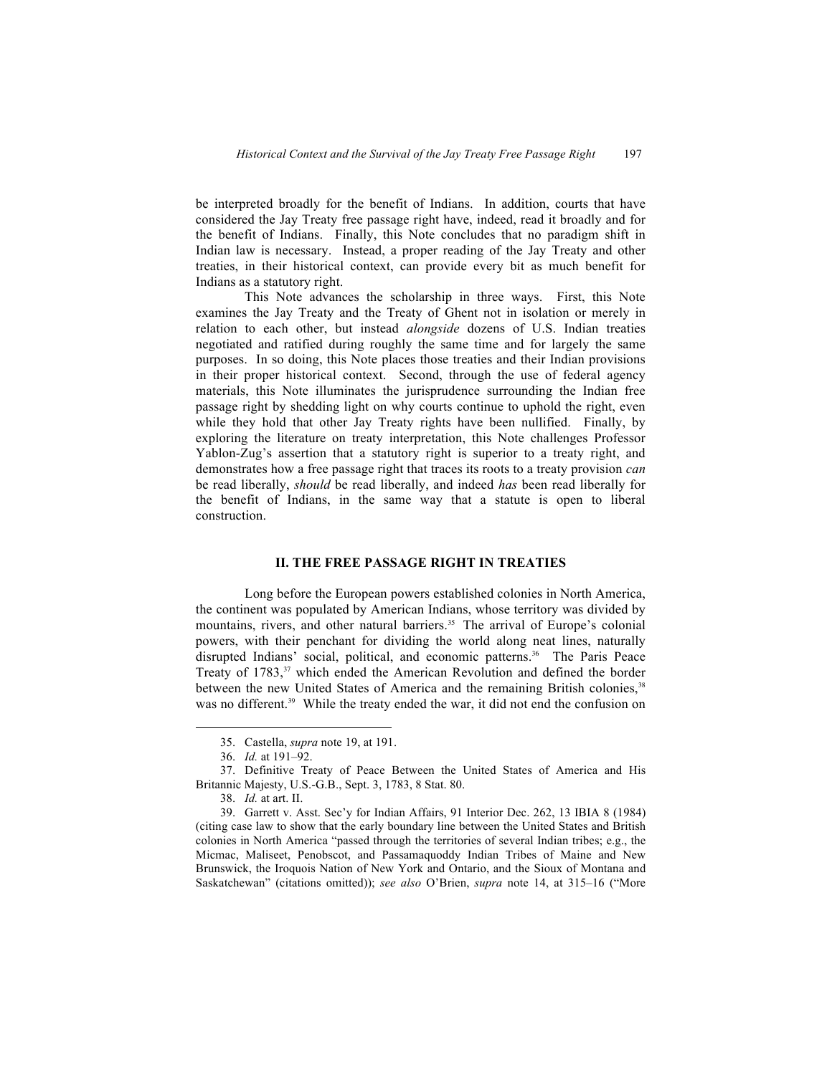be interpreted broadly for the benefit of Indians. In addition, courts that have considered the Jay Treaty free passage right have, indeed, read it broadly and for the benefit of Indians. Finally, this Note concludes that no paradigm shift in Indian law is necessary. Instead, a proper reading of the Jay Treaty and other treaties, in their historical context, can provide every bit as much benefit for Indians as a statutory right.

This Note advances the scholarship in three ways. First, this Note examines the Jay Treaty and the Treaty of Ghent not in isolation or merely in relation to each other, but instead *alongside* dozens of U.S. Indian treaties negotiated and ratified during roughly the same time and for largely the same purposes. In so doing, this Note places those treaties and their Indian provisions in their proper historical context. Second, through the use of federal agency materials, this Note illuminates the jurisprudence surrounding the Indian free passage right by shedding light on why courts continue to uphold the right, even while they hold that other Jay Treaty rights have been nullified. Finally, by exploring the literature on treaty interpretation, this Note challenges Professor Yablon-Zug's assertion that a statutory right is superior to a treaty right, and demonstrates how a free passage right that traces its roots to a treaty provision *can* be read liberally, *should* be read liberally, and indeed *has* been read liberally for the benefit of Indians, in the same way that a statute is open to liberal construction.

#### **II. THE FREE PASSAGE RIGHT IN TREATIES**

Long before the European powers established colonies in North America, the continent was populated by American Indians, whose territory was divided by mountains, rivers, and other natural barriers.<sup>35</sup> The arrival of Europe's colonial powers, with their penchant for dividing the world along neat lines, naturally disrupted Indians' social, political, and economic patterns.<sup>36</sup> The Paris Peace Treaty of 1783,<sup>37</sup> which ended the American Revolution and defined the border between the new United States of America and the remaining British colonies,<sup>38</sup> was no different.<sup>39</sup> While the treaty ended the war, it did not end the confusion on

<sup>35.</sup> Castella, *supra* note 19, at 191.

<sup>36.</sup> *Id.* at 191–92.

<sup>37.</sup> Definitive Treaty of Peace Between the United States of America and His Britannic Majesty, U.S.-G.B., Sept. 3, 1783, 8 Stat. 80.

<sup>38.</sup> *Id.* at art. II.

<sup>39.</sup> Garrett v. Asst. Sec'y for Indian Affairs, 91 Interior Dec. 262, 13 IBIA 8 (1984) (citing case law to show that the early boundary line between the United States and British colonies in North America "passed through the territories of several Indian tribes; e.g., the Micmac, Maliseet, Penobscot, and Passamaquoddy Indian Tribes of Maine and New Brunswick, the Iroquois Nation of New York and Ontario, and the Sioux of Montana and Saskatchewan" (citations omitted)); *see also* O'Brien, *supra* note 14, at 315–16 ("More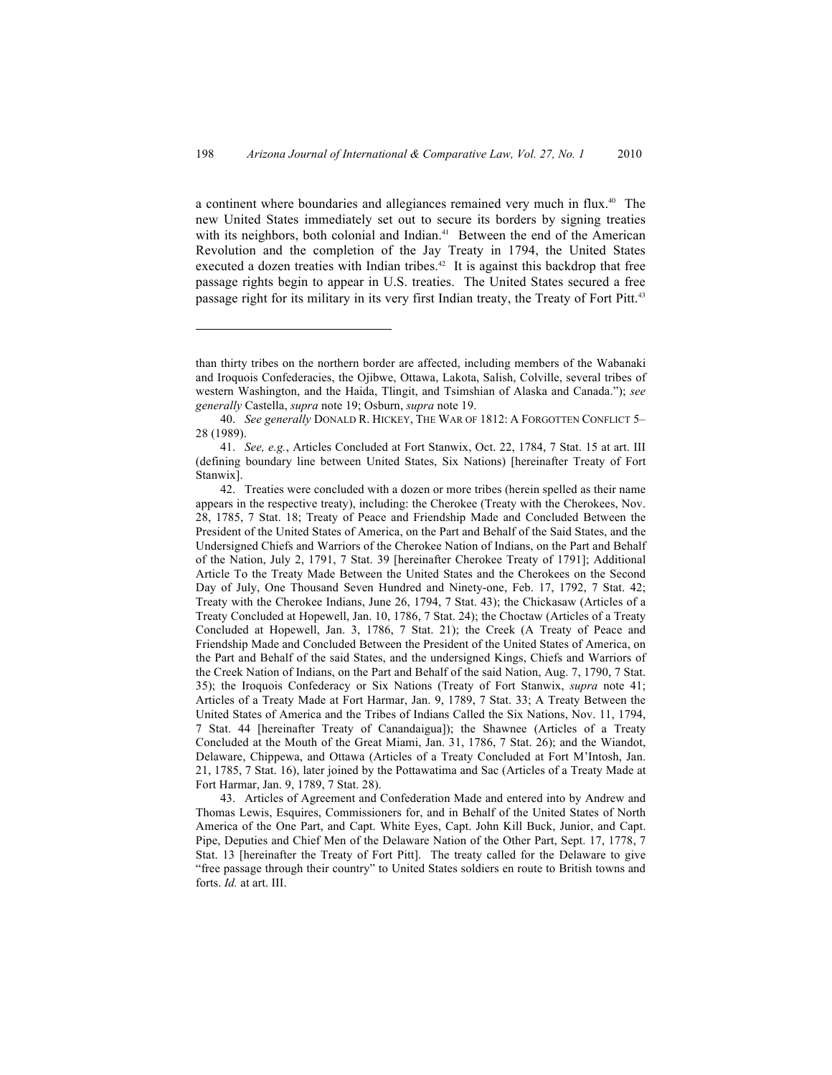a continent where boundaries and allegiances remained very much in flux.40 The new United States immediately set out to secure its borders by signing treaties with its neighbors, both colonial and Indian.<sup>41</sup> Between the end of the American Revolution and the completion of the Jay Treaty in 1794, the United States executed a dozen treaties with Indian tribes.<sup>42</sup> It is against this backdrop that free passage rights begin to appear in U.S. treaties. The United States secured a free passage right for its military in its very first Indian treaty, the Treaty of Fort Pitt.<sup>43</sup>

43. Articles of Agreement and Confederation Made and entered into by Andrew and Thomas Lewis, Esquires, Commissioners for, and in Behalf of the United States of North America of the One Part, and Capt. White Eyes, Capt. John Kill Buck, Junior, and Capt. Pipe, Deputies and Chief Men of the Delaware Nation of the Other Part, Sept. 17, 1778, 7 Stat. 13 [hereinafter the Treaty of Fort Pitt]. The treaty called for the Delaware to give "free passage through their country" to United States soldiers en route to British towns and forts. *Id.* at art. III.

than thirty tribes on the northern border are affected, including members of the Wabanaki and Iroquois Confederacies, the Ojibwe, Ottawa, Lakota, Salish, Colville, several tribes of western Washington, and the Haida, Tlingit, and Tsimshian of Alaska and Canada."); *see generally* Castella, *supra* note 19; Osburn, *supra* note 19.

<sup>40.</sup> *See generally* DONALD R. HICKEY, THE WAR OF 1812: A FORGOTTEN CONFLICT 5– 28 (1989).

<sup>41.</sup> *See, e.g.*, Articles Concluded at Fort Stanwix, Oct. 22, 1784, 7 Stat. 15 at art. III (defining boundary line between United States, Six Nations) [hereinafter Treaty of Fort Stanwix].

<sup>42.</sup> Treaties were concluded with a dozen or more tribes (herein spelled as their name appears in the respective treaty), including: the Cherokee (Treaty with the Cherokees, Nov. 28, 1785, 7 Stat. 18; Treaty of Peace and Friendship Made and Concluded Between the President of the United States of America, on the Part and Behalf of the Said States, and the Undersigned Chiefs and Warriors of the Cherokee Nation of Indians, on the Part and Behalf of the Nation, July 2, 1791, 7 Stat. 39 [hereinafter Cherokee Treaty of 1791]; Additional Article To the Treaty Made Between the United States and the Cherokees on the Second Day of July, One Thousand Seven Hundred and Ninety-one, Feb. 17, 1792, 7 Stat. 42; Treaty with the Cherokee Indians, June 26, 1794, 7 Stat. 43); the Chickasaw (Articles of a Treaty Concluded at Hopewell, Jan. 10, 1786, 7 Stat. 24); the Choctaw (Articles of a Treaty Concluded at Hopewell, Jan. 3, 1786, 7 Stat. 21); the Creek (A Treaty of Peace and Friendship Made and Concluded Between the President of the United States of America, on the Part and Behalf of the said States, and the undersigned Kings, Chiefs and Warriors of the Creek Nation of Indians, on the Part and Behalf of the said Nation, Aug. 7, 1790, 7 Stat. 35); the Iroquois Confederacy or Six Nations (Treaty of Fort Stanwix, *supra* note 41; Articles of a Treaty Made at Fort Harmar, Jan. 9, 1789, 7 Stat. 33; A Treaty Between the United States of America and the Tribes of Indians Called the Six Nations, Nov. 11, 1794, 7 Stat. 44 [hereinafter Treaty of Canandaigua]); the Shawnee (Articles of a Treaty Concluded at the Mouth of the Great Miami, Jan. 31, 1786, 7 Stat. 26); and the Wiandot, Delaware, Chippewa, and Ottawa (Articles of a Treaty Concluded at Fort M'Intosh, Jan. 21, 1785, 7 Stat. 16), later joined by the Pottawatima and Sac (Articles of a Treaty Made at Fort Harmar, Jan. 9, 1789, 7 Stat. 28).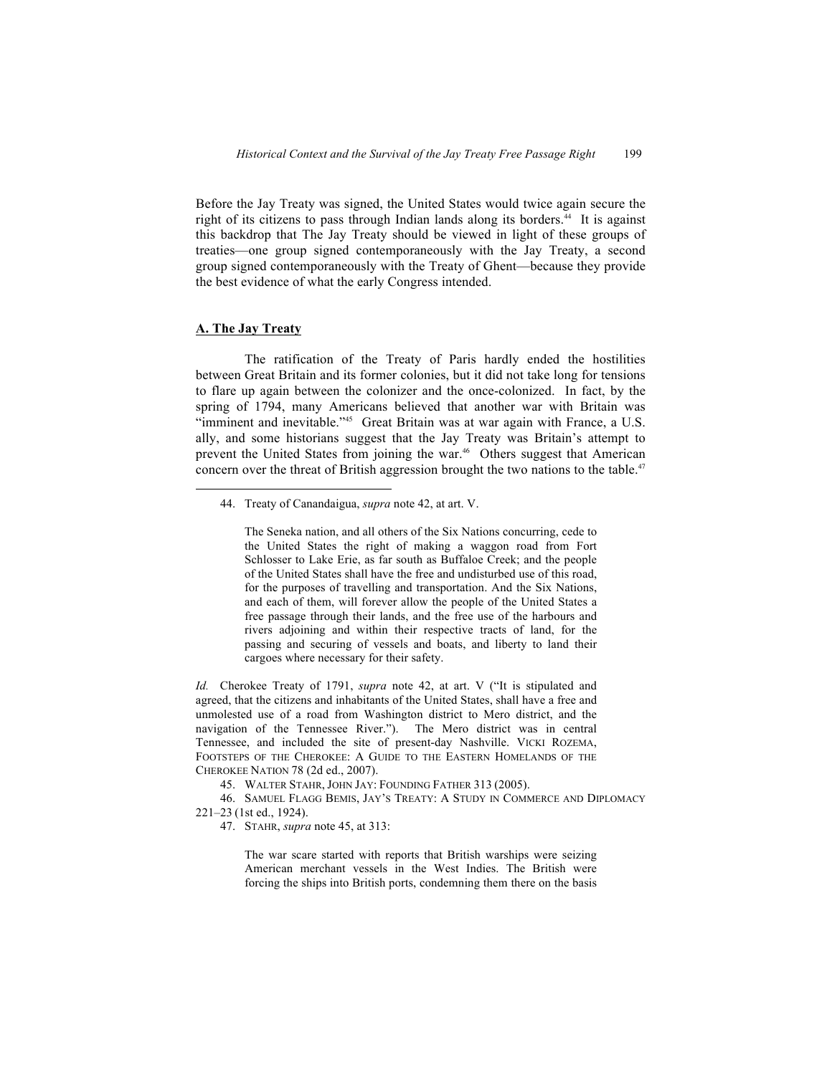Before the Jay Treaty was signed, the United States would twice again secure the right of its citizens to pass through Indian lands along its borders.<sup>44</sup> It is against this backdrop that The Jay Treaty should be viewed in light of these groups of treaties—one group signed contemporaneously with the Jay Treaty, a second group signed contemporaneously with the Treaty of Ghent—because they provide the best evidence of what the early Congress intended.

## **A. The Jay Treaty**

The ratification of the Treaty of Paris hardly ended the hostilities between Great Britain and its former colonies, but it did not take long for tensions to flare up again between the colonizer and the once-colonized. In fact, by the spring of 1794, many Americans believed that another war with Britain was "imminent and inevitable."45 Great Britain was at war again with France, a U.S. ally, and some historians suggest that the Jay Treaty was Britain's attempt to prevent the United States from joining the war.<sup>46</sup> Others suggest that American concern over the threat of British aggression brought the two nations to the table.<sup>47</sup>

The Seneka nation, and all others of the Six Nations concurring, cede to the United States the right of making a waggon road from Fort Schlosser to Lake Erie, as far south as Buffaloe Creek; and the people of the United States shall have the free and undisturbed use of this road, for the purposes of travelling and transportation. And the Six Nations, and each of them, will forever allow the people of the United States a free passage through their lands, and the free use of the harbours and rivers adjoining and within their respective tracts of land, for the passing and securing of vessels and boats, and liberty to land their cargoes where necessary for their safety.

*Id.* Cherokee Treaty of 1791, *supra* note 42, at art. V ("It is stipulated and agreed, that the citizens and inhabitants of the United States, shall have a free and unmolested use of a road from Washington district to Mero district, and the navigation of the Tennessee River."). The Mero district was in central Tennessee, and included the site of present-day Nashville. VICKI ROZEMA, FOOTSTEPS OF THE CHEROKEE: A GUIDE TO THE EASTERN HOMELANDS OF THE CHEROKEE NATION 78 (2d ed., 2007).

45. WALTER STAHR, JOHN JAY: FOUNDING FATHER 313 (2005).

46. SAMUEL FLAGG BEMIS, JAY'S TREATY: A STUDY IN COMMERCE AND DIPLOMACY 221–23 (1st ed., 1924).

47. STAHR, *supra* note 45, at 313:

The war scare started with reports that British warships were seizing American merchant vessels in the West Indies. The British were forcing the ships into British ports, condemning them there on the basis

<sup>44.</sup> Treaty of Canandaigua, *supra* note 42, at art. V.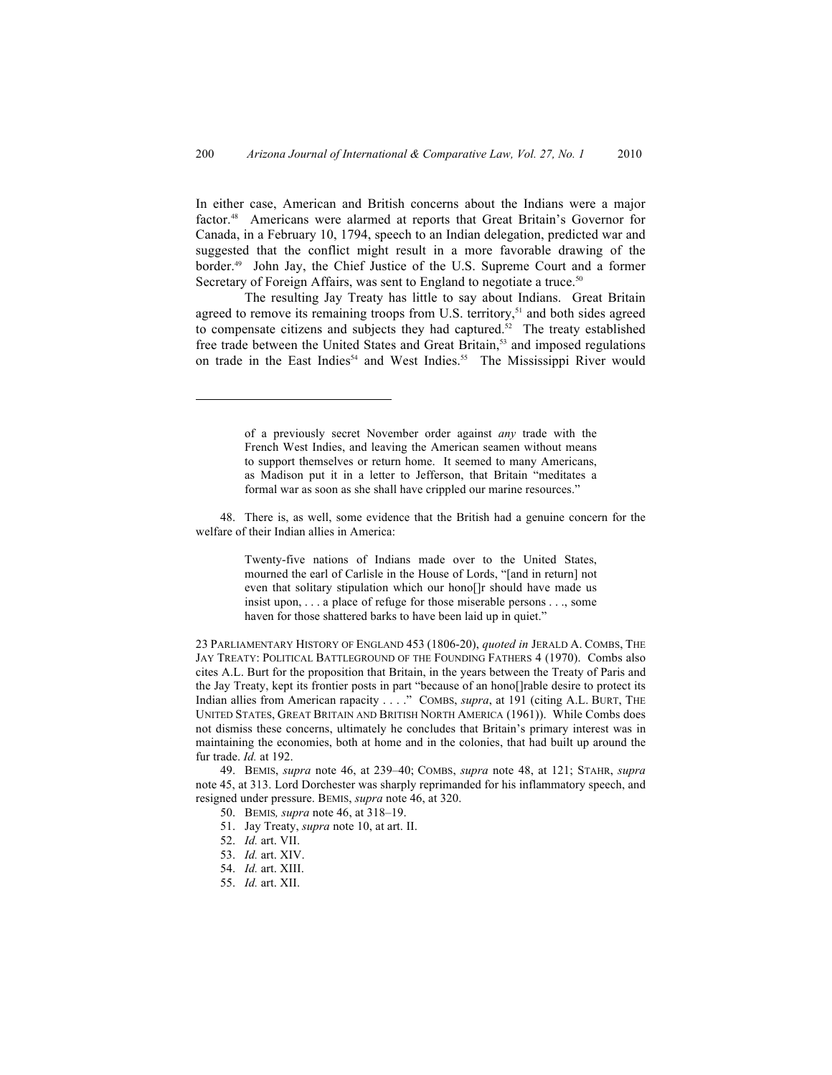In either case, American and British concerns about the Indians were a major factor.48 Americans were alarmed at reports that Great Britain's Governor for Canada, in a February 10, 1794, speech to an Indian delegation, predicted war and suggested that the conflict might result in a more favorable drawing of the border.49 John Jay, the Chief Justice of the U.S. Supreme Court and a former Secretary of Foreign Affairs, was sent to England to negotiate a truce.<sup>50</sup>

The resulting Jay Treaty has little to say about Indians. Great Britain agreed to remove its remaining troops from U.S. territory, $51$  and both sides agreed to compensate citizens and subjects they had captured.<sup>52</sup> The treaty established free trade between the United States and Great Britain, <sup>53</sup> and imposed regulations on trade in the East Indies<sup>54</sup> and West Indies.<sup>55</sup> The Mississippi River would

48. There is, as well, some evidence that the British had a genuine concern for the welfare of their Indian allies in America:

> Twenty-five nations of Indians made over to the United States, mourned the earl of Carlisle in the House of Lords, "[and in return] not even that solitary stipulation which our hono[]r should have made us insist upon, . . . a place of refuge for those miserable persons . . ., some haven for those shattered barks to have been laid up in quiet."

23 PARLIAMENTARY HISTORY OF ENGLAND 453 (1806-20), *quoted in* JERALD A. COMBS, THE JAY TREATY: POLITICAL BATTLEGROUND OF THE FOUNDING FATHERS 4 (1970). Combs also cites A.L. Burt for the proposition that Britain, in the years between the Treaty of Paris and the Jay Treaty, kept its frontier posts in part "because of an hono[]rable desire to protect its Indian allies from American rapacity . . . ." COMBS, *supra*, at 191 (citing A.L. BURT, THE UNITED STATES, GREAT BRITAIN AND BRITISH NORTH AMERICA (1961)). While Combs does not dismiss these concerns, ultimately he concludes that Britain's primary interest was in maintaining the economies, both at home and in the colonies, that had built up around the fur trade. *Id.* at 192.

49. BEMIS, *supra* note 46, at 239–40; COMBS, *supra* note 48, at 121; STAHR, *supra* note 45, at 313. Lord Dorchester was sharply reprimanded for his inflammatory speech, and resigned under pressure. BEMIS, *supra* note 46, at 320.

50. BEMIS*, supra* note 46, at 318–19.

- 51. Jay Treaty, *supra* note 10, at art. II.
- 52. *Id.* art. VII.
- 53. *Id.* art. XIV.
- 54. *Id.* art. XIII.
- 55. *Id.* art. XII.

of a previously secret November order against *any* trade with the French West Indies, and leaving the American seamen without means to support themselves or return home. It seemed to many Americans, as Madison put it in a letter to Jefferson, that Britain "meditates a formal war as soon as she shall have crippled our marine resources."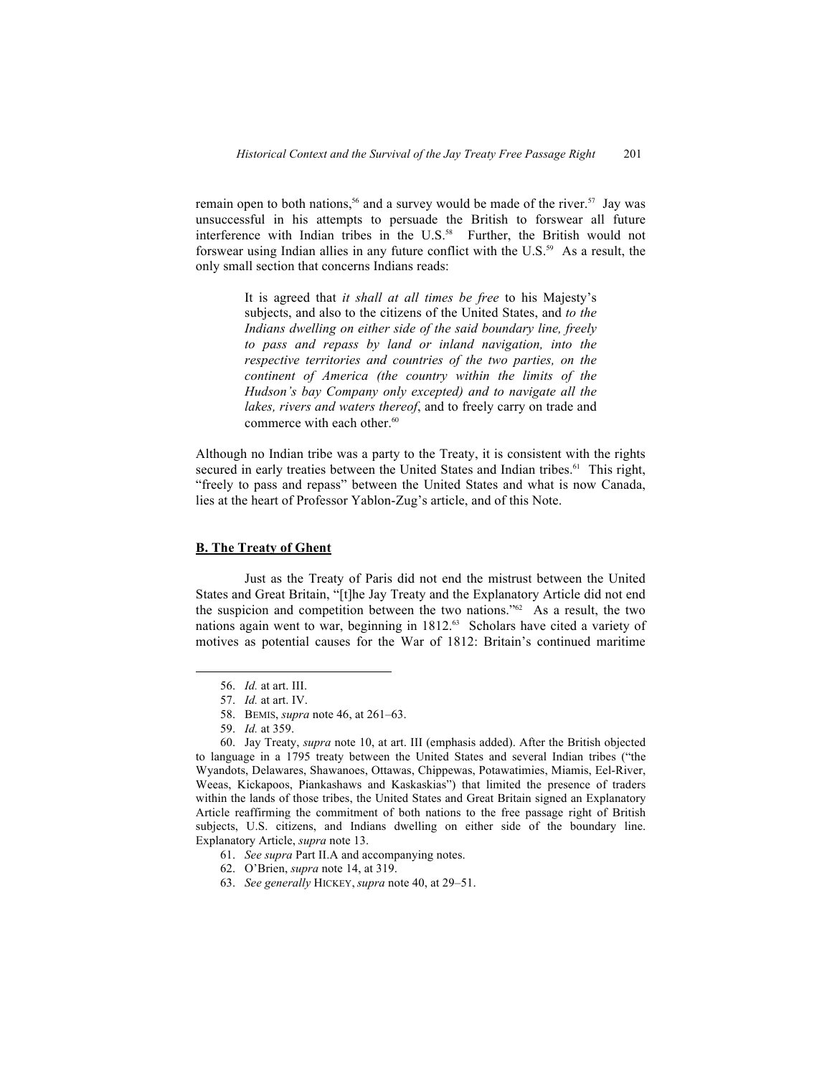remain open to both nations,<sup>56</sup> and a survey would be made of the river.<sup>57</sup> Jay was unsuccessful in his attempts to persuade the British to forswear all future interference with Indian tribes in the  $U.S.^{58}$  Further, the British would not forswear using Indian allies in any future conflict with the U.S.59 As a result, the only small section that concerns Indians reads:

> It is agreed that *it shall at all times be free* to his Majesty's subjects, and also to the citizens of the United States, and *to the Indians dwelling on either side of the said boundary line, freely to pass and repass by land or inland navigation, into the respective territories and countries of the two parties, on the continent of America (the country within the limits of the Hudson's bay Company only excepted) and to navigate all the lakes, rivers and waters thereof*, and to freely carry on trade and commerce with each other.<sup>60</sup>

Although no Indian tribe was a party to the Treaty, it is consistent with the rights secured in early treaties between the United States and Indian tribes.<sup>61</sup> This right, "freely to pass and repass" between the United States and what is now Canada, lies at the heart of Professor Yablon-Zug's article, and of this Note.

## **B. The Treaty of Ghent**

Just as the Treaty of Paris did not end the mistrust between the United States and Great Britain, "[t]he Jay Treaty and the Explanatory Article did not end the suspicion and competition between the two nations."62 As a result, the two nations again went to war, beginning in 1812.<sup>63</sup> Scholars have cited a variety of motives as potential causes for the War of 1812: Britain's continued maritime

60. Jay Treaty, *supra* note 10, at art. III (emphasis added). After the British objected to language in a 1795 treaty between the United States and several Indian tribes ("the Wyandots, Delawares, Shawanoes, Ottawas, Chippewas, Potawatimies, Miamis, Eel-River, Weeas, Kickapoos, Piankashaws and Kaskaskias") that limited the presence of traders within the lands of those tribes, the United States and Great Britain signed an Explanatory Article reaffirming the commitment of both nations to the free passage right of British subjects, U.S. citizens, and Indians dwelling on either side of the boundary line. Explanatory Article, *supra* note 13.

- 61. *See supra* Part II.A and accompanying notes.
- 62. O'Brien, *supra* note 14, at 319.
- 63. *See generally* HICKEY, *supra* note 40, at 29–51.

<sup>56.</sup> *Id.* at art. III.

<sup>57.</sup> *Id.* at art. IV.

<sup>58.</sup> BEMIS, *supra* note 46, at 261–63.

<sup>59.</sup> *Id.* at 359.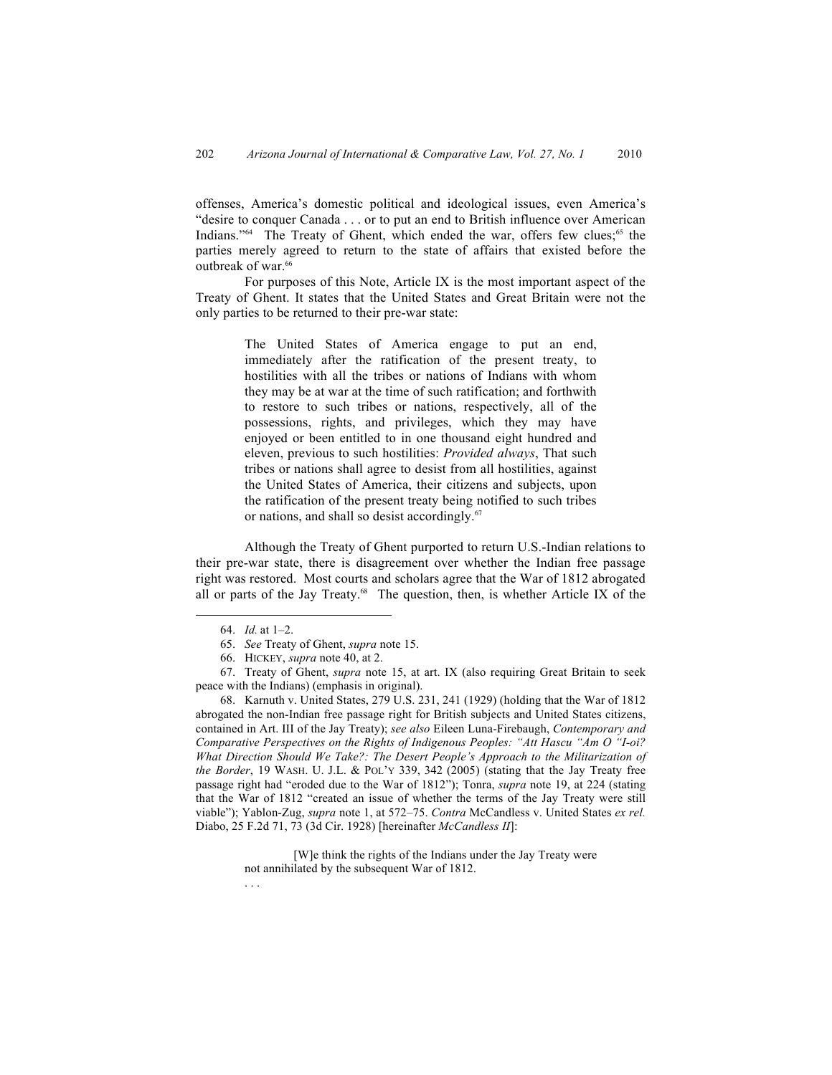offenses, America's domestic political and ideological issues, even America's "desire to conquer Canada . . . or to put an end to British influence over American Indians."<sup>64</sup> The Treaty of Ghent, which ended the war, offers few clues;<sup>65</sup> the parties merely agreed to return to the state of affairs that existed before the outbreak of war.<sup>66</sup>

For purposes of this Note, Article IX is the most important aspect of the Treaty of Ghent. It states that the United States and Great Britain were not the only parties to be returned to their pre-war state:

> The United States of America engage to put an end, immediately after the ratification of the present treaty, to hostilities with all the tribes or nations of Indians with whom they may be at war at the time of such ratification; and forthwith to restore to such tribes or nations, respectively, all of the possessions, rights, and privileges, which they may have enjoyed or been entitled to in one thousand eight hundred and eleven, previous to such hostilities: *Provided always*, That such tribes or nations shall agree to desist from all hostilities, against the United States of America, their citizens and subjects, upon the ratification of the present treaty being notified to such tribes or nations, and shall so desist accordingly.<sup>67</sup>

Although the Treaty of Ghent purported to return U.S.-Indian relations to their pre-war state, there is disagreement over whether the Indian free passage right was restored. Most courts and scholars agree that the War of 1812 abrogated all or parts of the Jay Treaty.<sup>68</sup> The question, then, is whether Article IX of the

. . .

[W]e think the rights of the Indians under the Jay Treaty were not annihilated by the subsequent War of 1812.

<sup>64.</sup> *Id.* at 1–2.

<sup>65.</sup> *See* Treaty of Ghent, *supra* note 15.

<sup>66.</sup> HICKEY, *supra* note 40, at 2.

<sup>67.</sup> Treaty of Ghent, *supra* note 15, at art. IX (also requiring Great Britain to seek peace with the Indians) (emphasis in original).

<sup>68.</sup> Karnuth v. United States, 279 U.S. 231, 241 (1929) (holding that the War of 1812 abrogated the non-Indian free passage right for British subjects and United States citizens, contained in Art. III of the Jay Treaty); *see also* Eileen Luna-Firebaugh, *Contemporary and Comparative Perspectives on the Rights of Indigenous Peoples: "Att Hascu "Am O "I-oi? What Direction Should We Take?: The Desert People's Approach to the Militarization of the Border*, 19 WASH. U. J.L. & POL'Y 339, 342 (2005) (stating that the Jay Treaty free passage right had "eroded due to the War of 1812"); Tonra, *supra* note 19, at 224 (stating that the War of 1812 "created an issue of whether the terms of the Jay Treaty were still viable"); Yablon-Zug, *supra* note 1, at 572–75. *Contra* McCandless v. United States *ex rel.* Diabo, 25 F.2d 71, 73 (3d Cir. 1928) [hereinafter *McCandless II*]: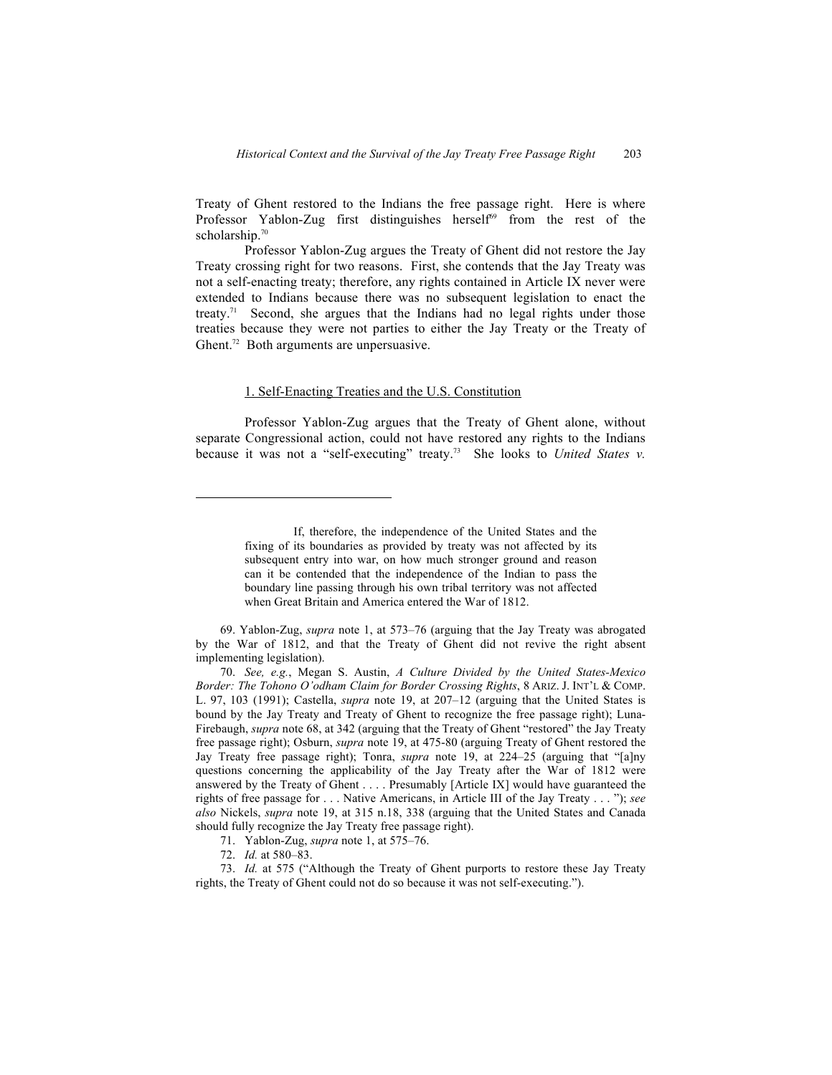Treaty of Ghent restored to the Indians the free passage right. Here is where Professor Yablon-Zug first distinguishes herself<sup>69</sup> from the rest of the scholarship.<sup>70</sup>

Professor Yablon-Zug argues the Treaty of Ghent did not restore the Jay Treaty crossing right for two reasons. First, she contends that the Jay Treaty was not a self-enacting treaty; therefore, any rights contained in Article IX never were extended to Indians because there was no subsequent legislation to enact the treaty.71 Second, she argues that the Indians had no legal rights under those treaties because they were not parties to either the Jay Treaty or the Treaty of Ghent.<sup>72</sup> Both arguments are unpersuasive.

#### 1. Self-Enacting Treaties and the U.S. Constitution

Professor Yablon-Zug argues that the Treaty of Ghent alone, without separate Congressional action, could not have restored any rights to the Indians because it was not a "self-executing" treaty.73 She looks to *United States v.* 

69. Yablon-Zug, *supra* note 1, at 573–76 (arguing that the Jay Treaty was abrogated by the War of 1812, and that the Treaty of Ghent did not revive the right absent implementing legislation).

70. *See, e.g.*, Megan S. Austin, *A Culture Divided by the United States-Mexico Border: The Tohono O'odham Claim for Border Crossing Rights*, 8 ARIZ. J. INT'L & COMP. L. 97, 103 (1991); Castella, *supra* note 19, at 207–12 (arguing that the United States is bound by the Jay Treaty and Treaty of Ghent to recognize the free passage right); Luna-Firebaugh, *supra* note 68, at 342 (arguing that the Treaty of Ghent "restored" the Jay Treaty free passage right); Osburn, *supra* note 19, at 475-80 (arguing Treaty of Ghent restored the Jay Treaty free passage right); Tonra, *supra* note 19, at 224–25 (arguing that "[a]ny questions concerning the applicability of the Jay Treaty after the War of 1812 were answered by the Treaty of Ghent . . . . Presumably [Article IX] would have guaranteed the rights of free passage for . . . Native Americans, in Article III of the Jay Treaty . . . "); *see also* Nickels, *supra* note 19, at 315 n.18, 338 (arguing that the United States and Canada should fully recognize the Jay Treaty free passage right).

If, therefore, the independence of the United States and the fixing of its boundaries as provided by treaty was not affected by its subsequent entry into war, on how much stronger ground and reason can it be contended that the independence of the Indian to pass the boundary line passing through his own tribal territory was not affected when Great Britain and America entered the War of 1812.

<sup>71.</sup> Yablon-Zug, *supra* note 1, at 575–76.

<sup>72.</sup> *Id.* at 580–83.

<sup>73.</sup> *Id.* at 575 ("Although the Treaty of Ghent purports to restore these Jay Treaty rights, the Treaty of Ghent could not do so because it was not self-executing.").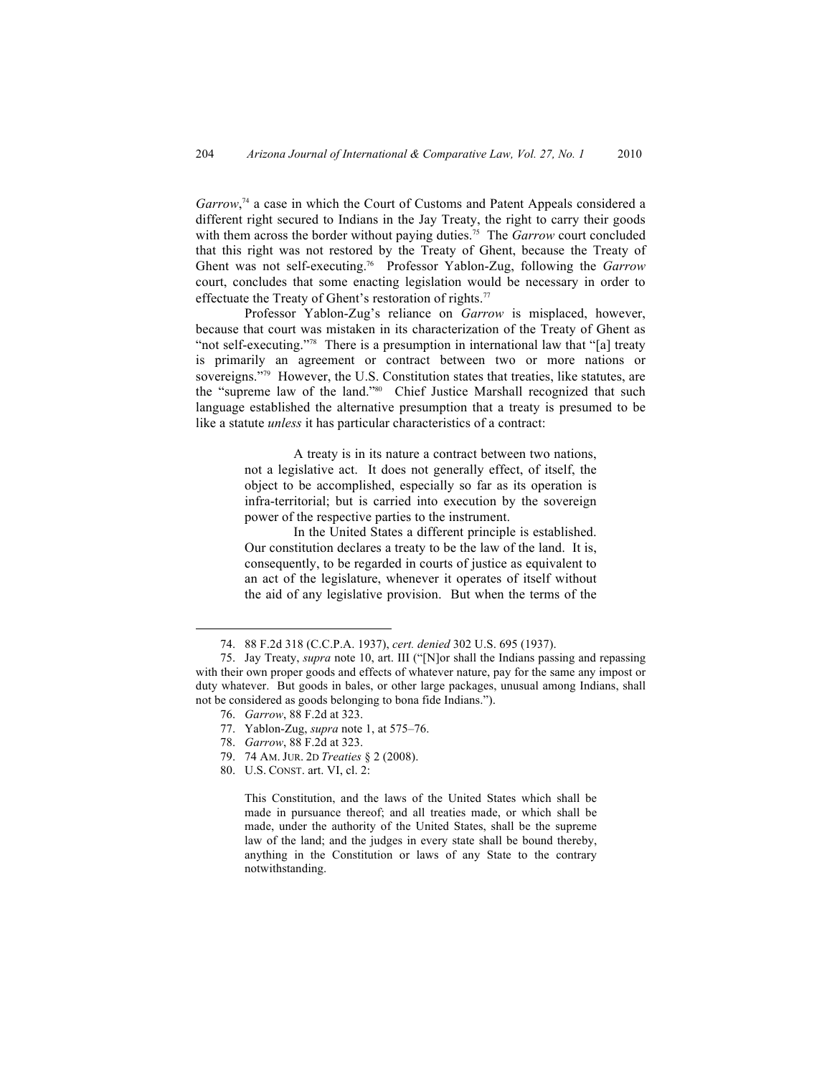Garrow,<sup>74</sup> a case in which the Court of Customs and Patent Appeals considered a different right secured to Indians in the Jay Treaty, the right to carry their goods with them across the border without paying duties.<sup>75</sup> The *Garrow* court concluded that this right was not restored by the Treaty of Ghent, because the Treaty of Ghent was not self-executing.76 Professor Yablon-Zug, following the *Garrow* court, concludes that some enacting legislation would be necessary in order to effectuate the Treaty of Ghent's restoration of rights.<sup>77</sup>

Professor Yablon-Zug's reliance on *Garrow* is misplaced, however, because that court was mistaken in its characterization of the Treaty of Ghent as "not self-executing."<sup>78</sup> There is a presumption in international law that "[a] treaty is primarily an agreement or contract between two or more nations or sovereigns."<sup>79</sup> However, the U.S. Constitution states that treaties, like statutes, are the "supreme law of the land."80 Chief Justice Marshall recognized that such language established the alternative presumption that a treaty is presumed to be like a statute *unless* it has particular characteristics of a contract:

> A treaty is in its nature a contract between two nations, not a legislative act. It does not generally effect, of itself, the object to be accomplished, especially so far as its operation is infra-territorial; but is carried into execution by the sovereign power of the respective parties to the instrument.

> In the United States a different principle is established. Our constitution declares a treaty to be the law of the land. It is, consequently, to be regarded in courts of justice as equivalent to an act of the legislature, whenever it operates of itself without the aid of any legislative provision. But when the terms of the

76. *Garrow*, 88 F.2d at 323.

- 77. Yablon-Zug, *supra* note 1, at 575–76.
- 78. *Garrow*, 88 F.2d at 323.
- 79. 74 AM. JUR. 2D *Treaties* § 2 (2008).
- 80. U.S. CONST. art. VI, cl. 2:

This Constitution, and the laws of the United States which shall be made in pursuance thereof; and all treaties made, or which shall be made, under the authority of the United States, shall be the supreme law of the land; and the judges in every state shall be bound thereby, anything in the Constitution or laws of any State to the contrary notwithstanding.

<sup>74.</sup> 88 F.2d 318 (C.C.P.A. 1937), *cert. denied* 302 U.S. 695 (1937).

<sup>75.</sup> Jay Treaty, *supra* note 10, art. III ("[N]or shall the Indians passing and repassing with their own proper goods and effects of whatever nature, pay for the same any impost or duty whatever. But goods in bales, or other large packages, unusual among Indians, shall not be considered as goods belonging to bona fide Indians.").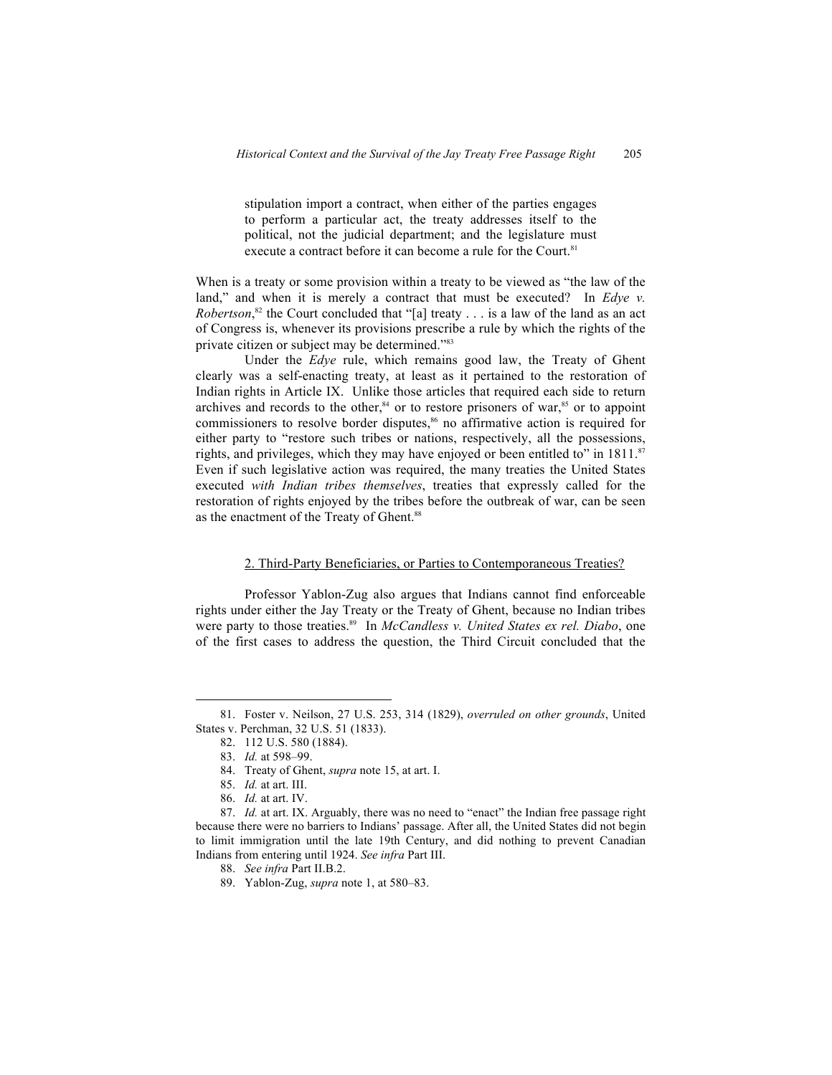stipulation import a contract, when either of the parties engages to perform a particular act, the treaty addresses itself to the political, not the judicial department; and the legislature must execute a contract before it can become a rule for the Court.<sup>81</sup>

When is a treaty or some provision within a treaty to be viewed as "the law of the land," and when it is merely a contract that must be executed? In *Edve v. Robertson*,<sup>82</sup> the Court concluded that "[a] treaty . . . is a law of the land as an act of Congress is, whenever its provisions prescribe a rule by which the rights of the private citizen or subject may be determined."<sup>83</sup>

Under the *Edye* rule, which remains good law, the Treaty of Ghent clearly was a self-enacting treaty, at least as it pertained to the restoration of Indian rights in Article IX. Unlike those articles that required each side to return archives and records to the other, $84$  or to restore prisoners of war, $85$  or to appoint commissioners to resolve border disputes,<sup>86</sup> no affirmative action is required for either party to "restore such tribes or nations, respectively, all the possessions, rights, and privileges, which they may have enjoyed or been entitled to" in  $1811$ .<sup>87</sup> Even if such legislative action was required, the many treaties the United States executed *with Indian tribes themselves*, treaties that expressly called for the restoration of rights enjoyed by the tribes before the outbreak of war, can be seen as the enactment of the Treaty of Ghent.<sup>88</sup>

#### 2. Third-Party Beneficiaries, or Parties to Contemporaneous Treaties?

Professor Yablon-Zug also argues that Indians cannot find enforceable rights under either the Jay Treaty or the Treaty of Ghent, because no Indian tribes were party to those treaties.<sup>89</sup> In *McCandless v. United States ex rel. Diabo*, one of the first cases to address the question, the Third Circuit concluded that the

<sup>81.</sup> Foster v. Neilson, 27 U.S. 253, 314 (1829), *overruled on other grounds*, United States v. Perchman, 32 U.S. 51 (1833).

<sup>82.</sup> 112 U.S. 580 (1884).

<sup>83.</sup> *Id.* at 598–99.

<sup>84.</sup> Treaty of Ghent, *supra* note 15, at art. I.

<sup>85.</sup> *Id.* at art. III.

<sup>86.</sup> *Id.* at art. IV.

<sup>87.</sup> *Id.* at art. IX. Arguably, there was no need to "enact" the Indian free passage right because there were no barriers to Indians' passage. After all, the United States did not begin to limit immigration until the late 19th Century, and did nothing to prevent Canadian Indians from entering until 1924. *See infra* Part III.

<sup>88.</sup> *See infra* Part II.B.2.

<sup>89.</sup> Yablon-Zug, *supra* note 1, at 580–83.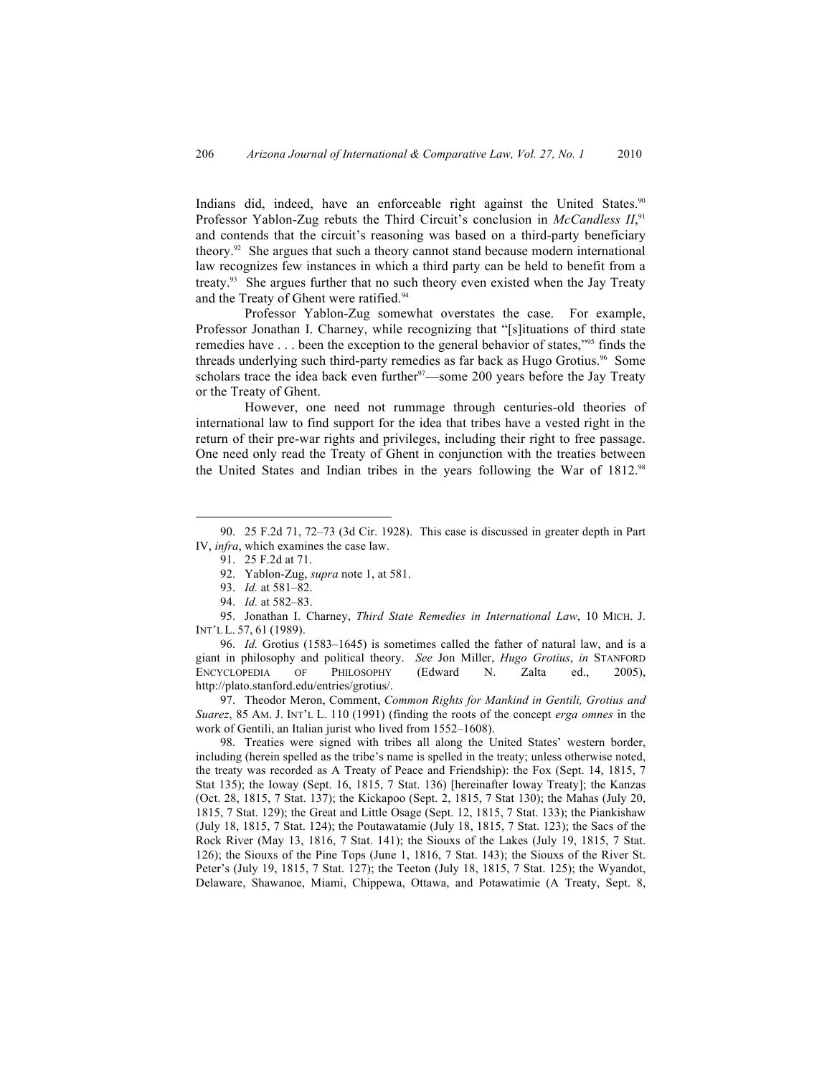Indians did, indeed, have an enforceable right against the United States.<sup>90</sup> Professor Yablon-Zug rebuts the Third Circuit's conclusion in *McCandless II*,<sup>91</sup> and contends that the circuit's reasoning was based on a third-party beneficiary theory.92 She argues that such a theory cannot stand because modern international law recognizes few instances in which a third party can be held to benefit from a treaty.93 She argues further that no such theory even existed when the Jay Treaty and the Treaty of Ghent were ratified.<sup>94</sup>

Professor Yablon-Zug somewhat overstates the case. For example, Professor Jonathan I. Charney, while recognizing that "[s]ituations of third state remedies have . . . been the exception to the general behavior of states,"95 finds the threads underlying such third-party remedies as far back as Hugo Grotius.<sup>96</sup> Some scholars trace the idea back even further  $97$ —some 200 years before the Jay Treaty or the Treaty of Ghent.

However, one need not rummage through centuries-old theories of international law to find support for the idea that tribes have a vested right in the return of their pre-war rights and privileges, including their right to free passage. One need only read the Treaty of Ghent in conjunction with the treaties between the United States and Indian tribes in the years following the War of 1812.<sup>98</sup>

96. *Id.* Grotius (1583–1645) is sometimes called the father of natural law, and is a giant in philosophy and political theory. *See* Jon Miller, *Hugo Grotius*, *in* STANFORD ENCYCLOPEDIA OF PHILOSOPHY (Edward N. Zalta ed., 2005), http://plato.stanford.edu/entries/grotius/.

97. Theodor Meron, Comment, *Common Rights for Mankind in Gentili, Grotius and Suarez*, 85 AM. J. INT'L L. 110 (1991) (finding the roots of the concept *erga omnes* in the work of Gentili, an Italian jurist who lived from 1552–1608).

98. Treaties were signed with tribes all along the United States' western border, including (herein spelled as the tribe's name is spelled in the treaty; unless otherwise noted, the treaty was recorded as A Treaty of Peace and Friendship): the Fox (Sept. 14, 1815, 7 Stat 135); the Ioway (Sept. 16, 1815, 7 Stat. 136) [hereinafter Ioway Treaty]; the Kanzas (Oct. 28, 1815, 7 Stat. 137); the Kickapoo (Sept. 2, 1815, 7 Stat 130); the Mahas (July 20, 1815, 7 Stat. 129); the Great and Little Osage (Sept. 12, 1815, 7 Stat. 133); the Piankishaw (July 18, 1815, 7 Stat. 124); the Poutawatamie (July 18, 1815, 7 Stat. 123); the Sacs of the Rock River (May 13, 1816, 7 Stat. 141); the Siouxs of the Lakes (July 19, 1815, 7 Stat. 126); the Siouxs of the Pine Tops (June 1, 1816, 7 Stat. 143); the Siouxs of the River St. Peter's (July 19, 1815, 7 Stat. 127); the Teeton (July 18, 1815, 7 Stat. 125); the Wyandot, Delaware, Shawanoe, Miami, Chippewa, Ottawa, and Potawatimie (A Treaty, Sept. 8,

<sup>90.</sup> 25 F.2d 71, 72–73 (3d Cir. 1928). This case is discussed in greater depth in Part IV, *infra*, which examines the case law.

<sup>91.</sup> 25 F.2d at 71.

<sup>92.</sup> Yablon-Zug, *supra* note 1, at 581.

<sup>93.</sup> *Id.* at 581–82.

<sup>94.</sup> *Id.* at 582–83.

<sup>95.</sup> Jonathan I. Charney, *Third State Remedies in International Law*, 10 MICH. J. INT'L L. 57, 61 (1989).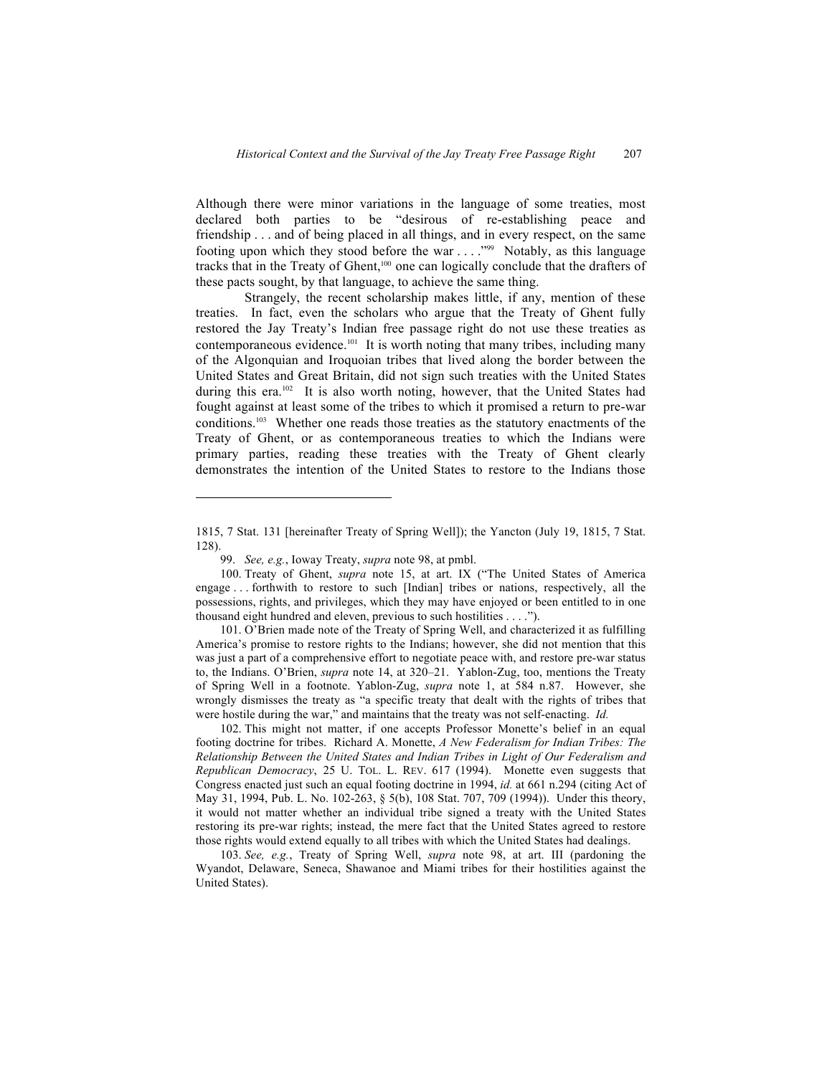Although there were minor variations in the language of some treaties, most declared both parties to be "desirous of re-establishing peace and friendship . . . and of being placed in all things, and in every respect, on the same footing upon which they stood before the war  $\dots$ ."<sup>99</sup> Notably, as this language tracks that in the Treaty of Ghent,<sup>100</sup> one can logically conclude that the drafters of these pacts sought, by that language, to achieve the same thing.

Strangely, the recent scholarship makes little, if any, mention of these treaties. In fact, even the scholars who argue that the Treaty of Ghent fully restored the Jay Treaty's Indian free passage right do not use these treaties as contemporaneous evidence.101 It is worth noting that many tribes, including many of the Algonquian and Iroquoian tribes that lived along the border between the United States and Great Britain, did not sign such treaties with the United States during this era.<sup>102</sup> It is also worth noting, however, that the United States had fought against at least some of the tribes to which it promised a return to pre-war conditions.103 Whether one reads those treaties as the statutory enactments of the Treaty of Ghent, or as contemporaneous treaties to which the Indians were primary parties, reading these treaties with the Treaty of Ghent clearly demonstrates the intention of the United States to restore to the Indians those

<sup>1815, 7</sup> Stat. 131 [hereinafter Treaty of Spring Well]); the Yancton (July 19, 1815, 7 Stat. 128).

<sup>99.</sup> *See, e.g.*, Ioway Treaty, *supra* note 98, at pmbl.

<sup>100.</sup> Treaty of Ghent, *supra* note 15, at art. IX ("The United States of America engage . . . forthwith to restore to such [Indian] tribes or nations, respectively, all the possessions, rights, and privileges, which they may have enjoyed or been entitled to in one thousand eight hundred and eleven, previous to such hostilities . . . .").

<sup>101.</sup> O'Brien made note of the Treaty of Spring Well, and characterized it as fulfilling America's promise to restore rights to the Indians; however, she did not mention that this was just a part of a comprehensive effort to negotiate peace with, and restore pre-war status to, the Indians. O'Brien, *supra* note 14, at 320–21. Yablon-Zug, too, mentions the Treaty of Spring Well in a footnote. Yablon-Zug, *supra* note 1, at 584 n.87. However, she wrongly dismisses the treaty as "a specific treaty that dealt with the rights of tribes that were hostile during the war," and maintains that the treaty was not self-enacting. *Id.*

<sup>102.</sup> This might not matter, if one accepts Professor Monette's belief in an equal footing doctrine for tribes. Richard A. Monette, *A New Federalism for Indian Tribes: The Relationship Between the United States and Indian Tribes in Light of Our Federalism and Republican Democracy*, 25 U. TOL. L. REV. 617 (1994). Monette even suggests that Congress enacted just such an equal footing doctrine in 1994, *id.* at 661 n.294 (citing Act of May 31, 1994, Pub. L. No. 102-263, § 5(b), 108 Stat. 707, 709 (1994)). Under this theory, it would not matter whether an individual tribe signed a treaty with the United States restoring its pre-war rights; instead, the mere fact that the United States agreed to restore those rights would extend equally to all tribes with which the United States had dealings.

<sup>103.</sup> *See, e.g.*, Treaty of Spring Well, *supra* note 98, at art. III (pardoning the Wyandot, Delaware, Seneca, Shawanoe and Miami tribes for their hostilities against the United States).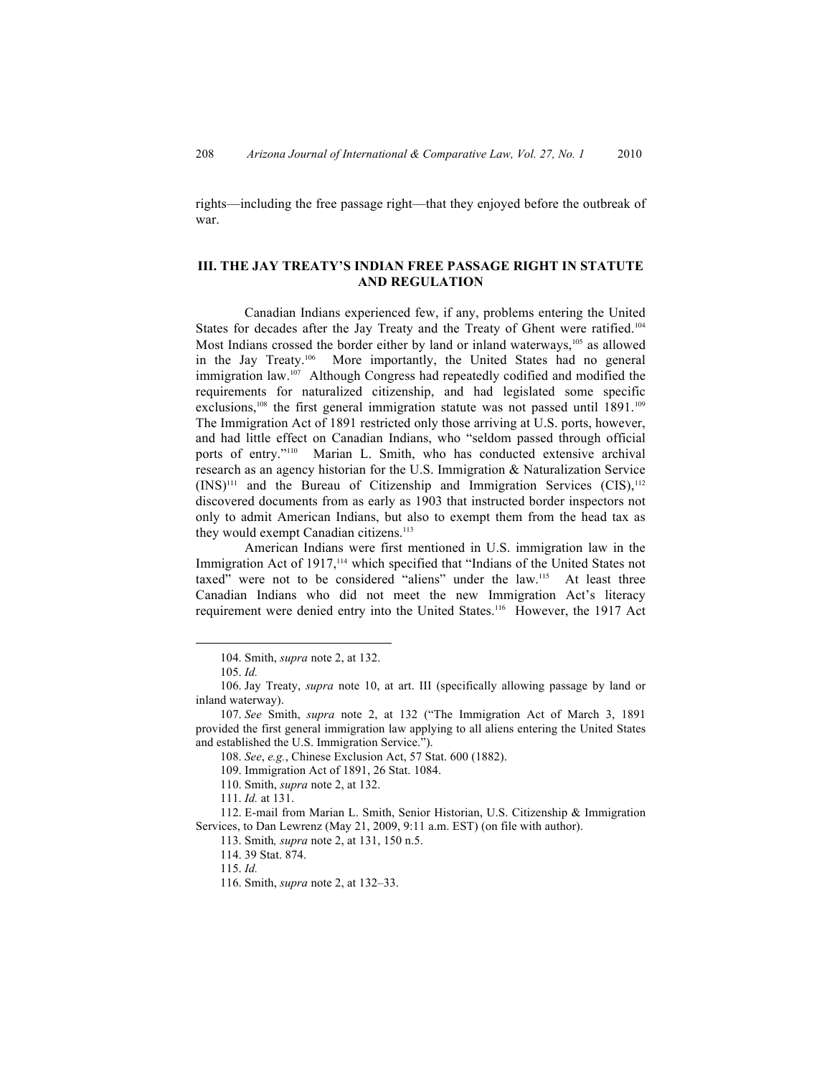rights—including the free passage right—that they enjoyed before the outbreak of war.

# **III. THE JAY TREATY'S INDIAN FREE PASSAGE RIGHT IN STATUTE AND REGULATION**

Canadian Indians experienced few, if any, problems entering the United States for decades after the Jay Treaty and the Treaty of Ghent were ratified.<sup>104</sup> Most Indians crossed the border either by land or inland waterways,<sup>105</sup> as allowed in the Jay Treaty.106 More importantly, the United States had no general immigration law.107 Although Congress had repeatedly codified and modified the requirements for naturalized citizenship, and had legislated some specific exclusions,<sup>108</sup> the first general immigration statute was not passed until 1891.<sup>109</sup> The Immigration Act of 1891 restricted only those arriving at U.S. ports, however, and had little effect on Canadian Indians, who "seldom passed through official ports of entry."<sup>110</sup> Marian L. Smith, who has conducted extensive archival research as an agency historian for the U.S. Immigration & Naturalization Service  $(INS)^{111}$  and the Bureau of Citizenship and Immigration Services  $(CIS)$ ,  $112$ discovered documents from as early as 1903 that instructed border inspectors not only to admit American Indians, but also to exempt them from the head tax as they would exempt Canadian citizens.<sup>113</sup>

American Indians were first mentioned in U.S. immigration law in the Immigration Act of 1917,<sup>114</sup> which specified that "Indians of the United States not taxed" were not to be considered "aliens" under the law.115 At least three Canadian Indians who did not meet the new Immigration Act's literacy requirement were denied entry into the United States.116 However, the 1917 Act

 104. Smith, *supra* note 2, at 132.

<sup>105.</sup> *Id.*

<sup>106.</sup> Jay Treaty, *supra* note 10, at art. III (specifically allowing passage by land or inland waterway).

<sup>107.</sup> *See* Smith, *supra* note 2, at 132 ("The Immigration Act of March 3, 1891 provided the first general immigration law applying to all aliens entering the United States and established the U.S. Immigration Service.").

<sup>108.</sup> *See*, *e.g.*, Chinese Exclusion Act, 57 Stat. 600 (1882).

<sup>109.</sup> Immigration Act of 1891, 26 Stat. 1084.

<sup>110.</sup> Smith, *supra* note 2, at 132.

<sup>111.</sup> *Id.* at 131.

<sup>112.</sup> E-mail from Marian L. Smith, Senior Historian, U.S. Citizenship & Immigration Services, to Dan Lewrenz (May 21, 2009, 9:11 a.m. EST) (on file with author).

<sup>113.</sup> Smith*, supra* note 2, at 131, 150 n.5.

<sup>114.</sup> 39 Stat. 874.

<sup>115.</sup> *Id.*

<sup>116.</sup> Smith, *supra* note 2, at 132–33.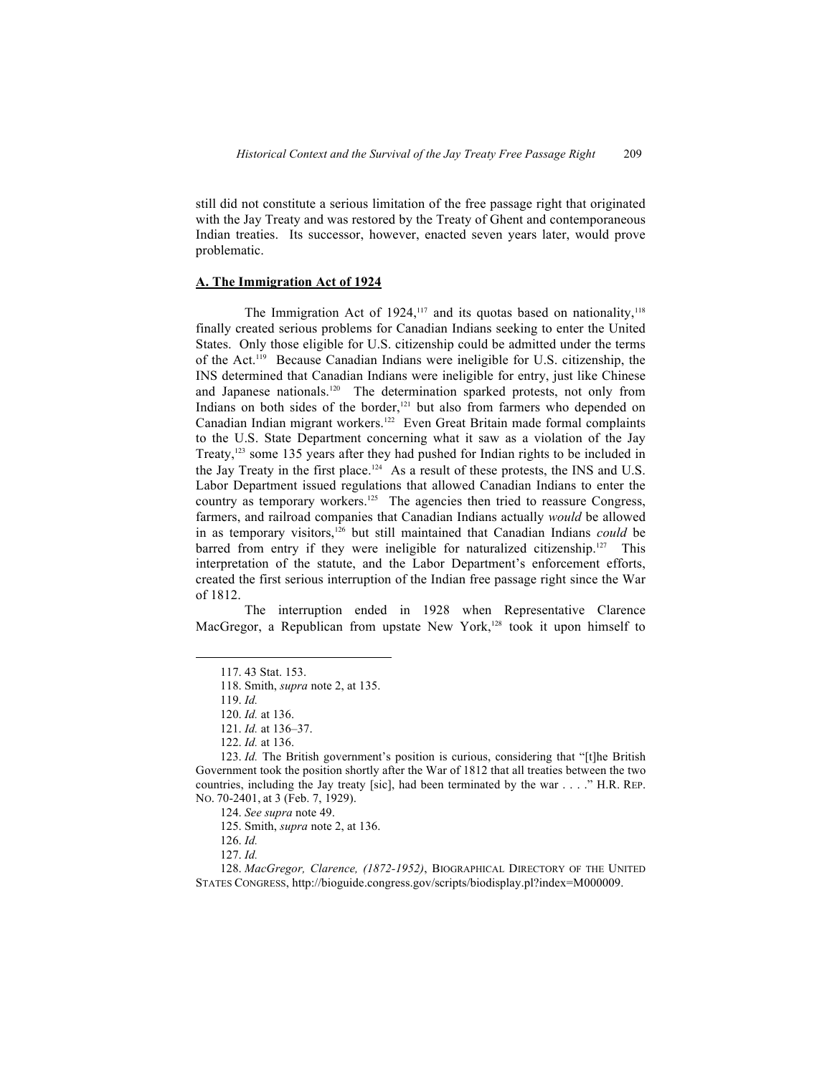still did not constitute a serious limitation of the free passage right that originated with the Jay Treaty and was restored by the Treaty of Ghent and contemporaneous Indian treaties. Its successor, however, enacted seven years later, would prove problematic.

#### **A. The Immigration Act of 1924**

The Immigration Act of 1924, $117$  and its quotas based on nationality, $118$ finally created serious problems for Canadian Indians seeking to enter the United States. Only those eligible for U.S. citizenship could be admitted under the terms of the Act.119 Because Canadian Indians were ineligible for U.S. citizenship, the INS determined that Canadian Indians were ineligible for entry, just like Chinese and Japanese nationals.<sup>120</sup> The determination sparked protests, not only from Indians on both sides of the border, $121$  but also from farmers who depended on Canadian Indian migrant workers.<sup>122</sup> Even Great Britain made formal complaints to the U.S. State Department concerning what it saw as a violation of the Jay Treaty,123 some 135 years after they had pushed for Indian rights to be included in the Jay Treaty in the first place.<sup>124</sup> As a result of these protests, the INS and U.S. Labor Department issued regulations that allowed Canadian Indians to enter the country as temporary workers.<sup>125</sup> The agencies then tried to reassure Congress, farmers, and railroad companies that Canadian Indians actually *would* be allowed in as temporary visitors,<sup>126</sup> but still maintained that Canadian Indians *could* be barred from entry if they were ineligible for naturalized citizenship.<sup>127</sup> This interpretation of the statute, and the Labor Department's enforcement efforts, created the first serious interruption of the Indian free passage right since the War of 1812.

The interruption ended in 1928 when Representative Clarence MacGregor, a Republican from upstate New York,<sup>128</sup> took it upon himself to

<sup>117.</sup> 43 Stat. 153.

<sup>118.</sup> Smith, *supra* note 2, at 135.

<sup>119.</sup> *Id.*

<sup>120.</sup> *Id.* at 136.

<sup>121.</sup> *Id.* at 136–37.

<sup>122.</sup> *Id.* at 136.

<sup>123.</sup> *Id.* The British government's position is curious, considering that "[t]he British Government took the position shortly after the War of 1812 that all treaties between the two countries, including the Jay treaty [sic], had been terminated by the war . . . ." H.R. REP. NO. 70-2401, at 3 (Feb. 7, 1929).

<sup>124.</sup> *See supra* note 49.

<sup>125.</sup> Smith, *supra* note 2, at 136.

<sup>126.</sup> *Id.*

<sup>127.</sup> *Id.*

<sup>128.</sup> *MacGregor, Clarence, (1872-1952)*, BIOGRAPHICAL DIRECTORY OF THE UNITED STATES CONGRESS, http://bioguide.congress.gov/scripts/biodisplay.pl?index=M000009.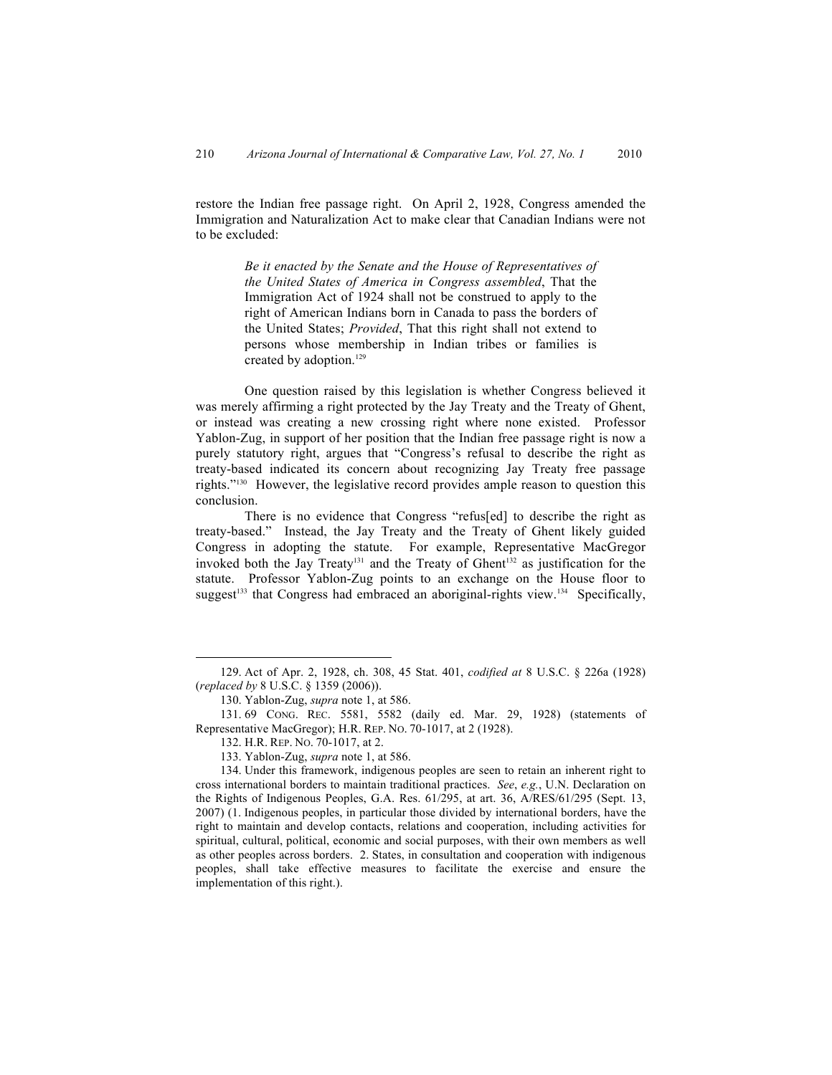restore the Indian free passage right. On April 2, 1928, Congress amended the Immigration and Naturalization Act to make clear that Canadian Indians were not to be excluded:

> *Be it enacted by the Senate and the House of Representatives of the United States of America in Congress assembled*, That the Immigration Act of 1924 shall not be construed to apply to the right of American Indians born in Canada to pass the borders of the United States; *Provided*, That this right shall not extend to persons whose membership in Indian tribes or families is created by adoption.<sup>129</sup>

One question raised by this legislation is whether Congress believed it was merely affirming a right protected by the Jay Treaty and the Treaty of Ghent, or instead was creating a new crossing right where none existed. Professor Yablon-Zug, in support of her position that the Indian free passage right is now a purely statutory right, argues that "Congress's refusal to describe the right as treaty-based indicated its concern about recognizing Jay Treaty free passage rights."130 However, the legislative record provides ample reason to question this conclusion.

There is no evidence that Congress "refus[ed] to describe the right as treaty-based." Instead, the Jay Treaty and the Treaty of Ghent likely guided Congress in adopting the statute. For example, Representative MacGregor invoked both the Jay Treaty<sup>131</sup> and the Treaty of Ghent<sup>132</sup> as justification for the statute. Professor Yablon-Zug points to an exchange on the House floor to suggest<sup>133</sup> that Congress had embraced an aboriginal-rights view.<sup>134</sup> Specifically,

<sup>129.</sup> Act of Apr. 2, 1928, ch. 308, 45 Stat. 401, *codified at* 8 U.S.C. § 226a (1928) (*replaced by* 8 U.S.C. § 1359 (2006)).

<sup>130.</sup> Yablon-Zug, *supra* note 1, at 586.

<sup>131.</sup> 69 CONG. REC. 5581, 5582 (daily ed. Mar. 29, 1928) (statements of Representative MacGregor); H.R. REP. NO. 70-1017, at 2 (1928).

<sup>132.</sup> H.R. REP. NO. 70-1017, at 2.

<sup>133.</sup> Yablon-Zug, *supra* note 1, at 586.

<sup>134.</sup> Under this framework, indigenous peoples are seen to retain an inherent right to cross international borders to maintain traditional practices. *See*, *e.g.*, U.N. Declaration on the Rights of Indigenous Peoples, G.A. Res. 61/295, at art. 36, A/RES/61/295 (Sept. 13, 2007) (1. Indigenous peoples, in particular those divided by international borders, have the right to maintain and develop contacts, relations and cooperation, including activities for spiritual, cultural, political, economic and social purposes, with their own members as well as other peoples across borders. 2. States, in consultation and cooperation with indigenous peoples, shall take effective measures to facilitate the exercise and ensure the implementation of this right.).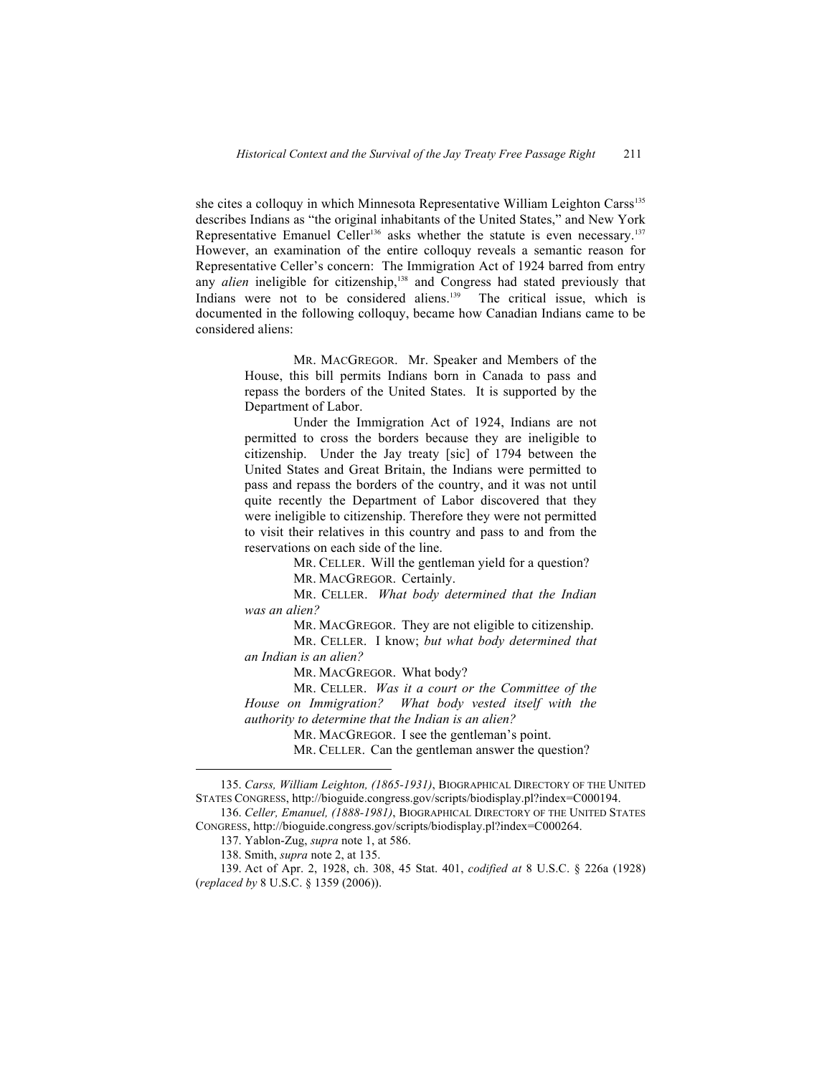she cites a colloquy in which Minnesota Representative William Leighton Carss<sup>135</sup> describes Indians as "the original inhabitants of the United States," and New York Representative Emanuel Celler<sup>136</sup> asks whether the statute is even necessary.<sup>137</sup> However, an examination of the entire colloquy reveals a semantic reason for Representative Celler's concern: The Immigration Act of 1924 barred from entry any *alien* ineligible for citizenship,<sup>138</sup> and Congress had stated previously that Indians were not to be considered aliens.<sup>139</sup> The critical issue, which is documented in the following colloquy, became how Canadian Indians came to be considered aliens:

> MR. MACGREGOR. Mr. Speaker and Members of the House, this bill permits Indians born in Canada to pass and repass the borders of the United States. It is supported by the Department of Labor.

> Under the Immigration Act of 1924, Indians are not permitted to cross the borders because they are ineligible to citizenship. Under the Jay treaty [sic] of 1794 between the United States and Great Britain, the Indians were permitted to pass and repass the borders of the country, and it was not until quite recently the Department of Labor discovered that they were ineligible to citizenship. Therefore they were not permitted to visit their relatives in this country and pass to and from the reservations on each side of the line.

> > MR. CELLER. Will the gentleman yield for a question?

MR. MACGREGOR. Certainly.

MR. CELLER. *What body determined that the Indian was an alien?*

MR. MACGREGOR. They are not eligible to citizenship.

MR. CELLER. I know; *but what body determined that an Indian is an alien?*

MR. MACGREGOR. What body?

MR. CELLER. *Was it a court or the Committee of the House on Immigration? What body vested itself with the authority to determine that the Indian is an alien?*

MR. MACGREGOR. I see the gentleman's point.

MR. CELLER. Can the gentleman answer the question?

<sup>135.</sup> *Carss, William Leighton, (1865-1931)*, BIOGRAPHICAL DIRECTORY OF THE UNITED STATES CONGRESS, http://bioguide.congress.gov/scripts/biodisplay.pl?index=C000194.

<sup>136.</sup> *Celler, Emanuel, (1888-1981)*, BIOGRAPHICAL DIRECTORY OF THE UNITED STATES CONGRESS, http://bioguide.congress.gov/scripts/biodisplay.pl?index=C000264.

<sup>137.</sup> Yablon-Zug, *supra* note 1, at 586.

<sup>138.</sup> Smith, *supra* note 2, at 135.

<sup>139.</sup> Act of Apr. 2, 1928, ch. 308, 45 Stat. 401, *codified at* 8 U.S.C. § 226a (1928) (*replaced by* 8 U.S.C. § 1359 (2006)).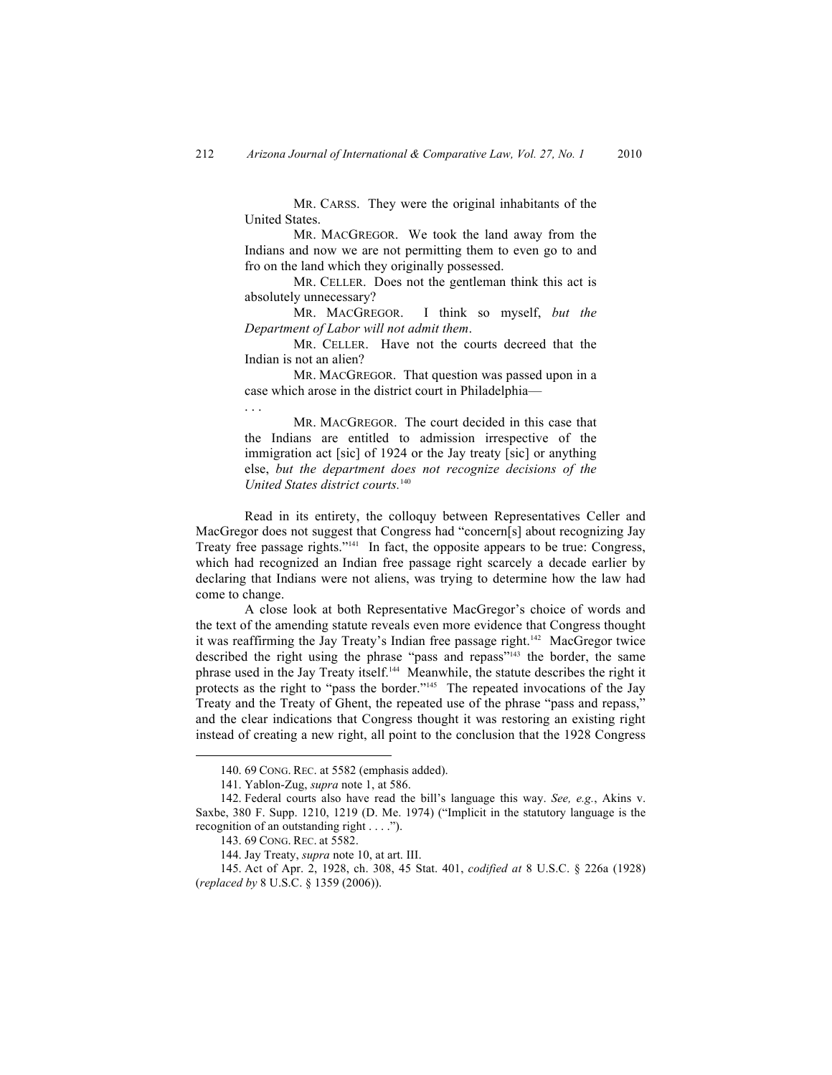MR. CARSS. They were the original inhabitants of the United States.

MR. MACGREGOR. We took the land away from the Indians and now we are not permitting them to even go to and fro on the land which they originally possessed.

MR. CELLER. Does not the gentleman think this act is absolutely unnecessary?

MR. MACGREGOR. I think so myself, *but the Department of Labor will not admit them*.

MR. CELLER. Have not the courts decreed that the Indian is not an alien?

MR. MACGREGOR. That question was passed upon in a case which arose in the district court in Philadelphia––

MR. MACGREGOR. The court decided in this case that the Indians are entitled to admission irrespective of the immigration act [sic] of 1924 or the Jay treaty [sic] or anything else, *but the department does not recognize decisions of the United States district courts.*<sup>140</sup>

Read in its entirety, the colloquy between Representatives Celler and MacGregor does not suggest that Congress had "concern[s] about recognizing Jay Treaty free passage rights."<sup>141</sup> In fact, the opposite appears to be true: Congress, which had recognized an Indian free passage right scarcely a decade earlier by declaring that Indians were not aliens, was trying to determine how the law had come to change.

A close look at both Representative MacGregor's choice of words and the text of the amending statute reveals even more evidence that Congress thought it was reaffirming the Jay Treaty's Indian free passage right.<sup>142</sup> MacGregor twice described the right using the phrase "pass and repass"143 the border, the same phrase used in the Jay Treaty itself.144 Meanwhile, the statute describes the right it protects as the right to "pass the border."<sup>145</sup> The repeated invocations of the Jay Treaty and the Treaty of Ghent, the repeated use of the phrase "pass and repass," and the clear indications that Congress thought it was restoring an existing right instead of creating a new right, all point to the conclusion that the 1928 Congress

. . .

<sup>140.</sup> 69 CONG. REC. at 5582 (emphasis added).

<sup>141.</sup> Yablon-Zug, *supra* note 1, at 586.

<sup>142.</sup> Federal courts also have read the bill's language this way. *See, e.g.*, Akins v. Saxbe, 380 F. Supp. 1210, 1219 (D. Me. 1974) ("Implicit in the statutory language is the recognition of an outstanding right . . . .").

<sup>143.</sup> 69 CONG. REC. at 5582.

<sup>144.</sup> Jay Treaty, *supra* note 10, at art. III.

<sup>145.</sup> Act of Apr. 2, 1928, ch. 308, 45 Stat. 401, *codified at* 8 U.S.C. § 226a (1928) (*replaced by* 8 U.S.C. § 1359 (2006)).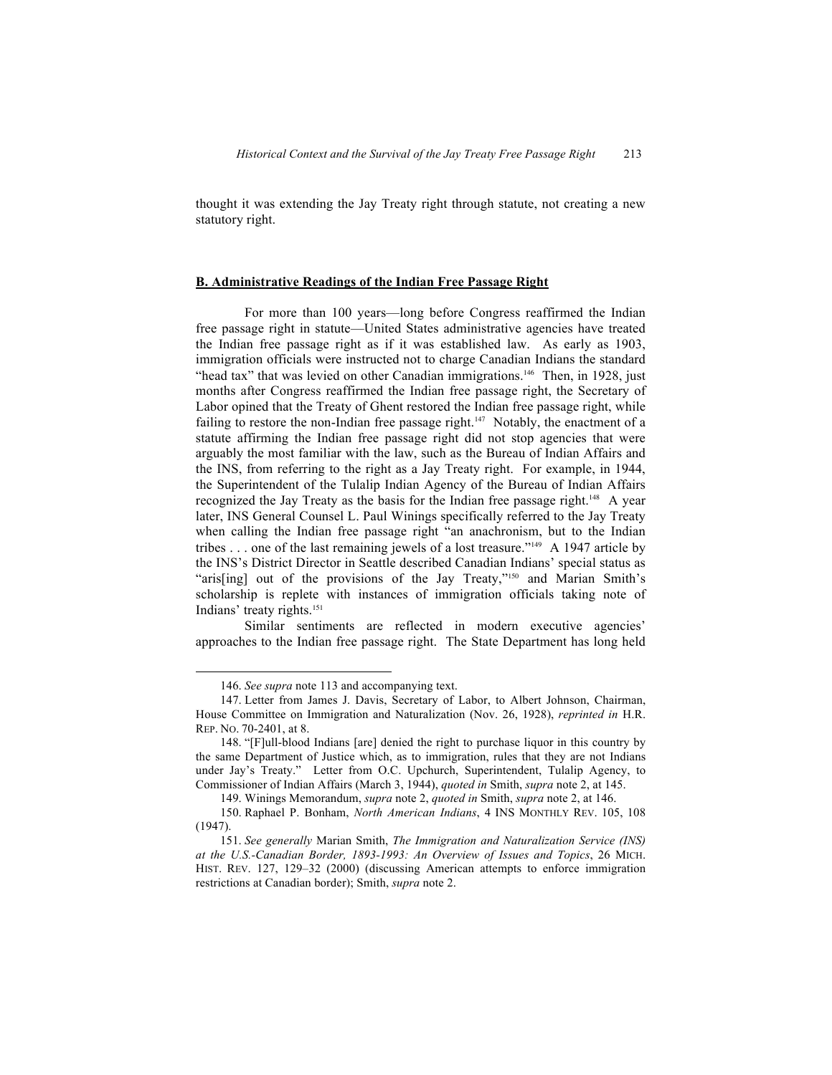thought it was extending the Jay Treaty right through statute, not creating a new statutory right.

#### **B. Administrative Readings of the Indian Free Passage Right**

For more than 100 years—long before Congress reaffirmed the Indian free passage right in statute—United States administrative agencies have treated the Indian free passage right as if it was established law. As early as 1903, immigration officials were instructed not to charge Canadian Indians the standard "head tax" that was levied on other Canadian immigrations.<sup>146</sup> Then, in 1928, just months after Congress reaffirmed the Indian free passage right, the Secretary of Labor opined that the Treaty of Ghent restored the Indian free passage right, while failing to restore the non-Indian free passage right.<sup>147</sup> Notably, the enactment of a statute affirming the Indian free passage right did not stop agencies that were arguably the most familiar with the law, such as the Bureau of Indian Affairs and the INS, from referring to the right as a Jay Treaty right. For example, in 1944, the Superintendent of the Tulalip Indian Agency of the Bureau of Indian Affairs recognized the Jay Treaty as the basis for the Indian free passage right.<sup>148</sup> A year later, INS General Counsel L. Paul Winings specifically referred to the Jay Treaty when calling the Indian free passage right "an anachronism, but to the Indian tribes . . . one of the last remaining jewels of a lost treasure."149 A 1947 article by the INS's District Director in Seattle described Canadian Indians' special status as "aris[ing] out of the provisions of the Jay Treaty,"<sup>150</sup> and Marian Smith's scholarship is replete with instances of immigration officials taking note of Indians' treaty rights.<sup>151</sup>

Similar sentiments are reflected in modern executive agencies' approaches to the Indian free passage right. The State Department has long held

149. Winings Memorandum, *supra* note 2, *quoted in* Smith, *supra* note 2, at 146.

<sup>146.</sup> *See supra* note 113 and accompanying text.

<sup>147.</sup> Letter from James J. Davis, Secretary of Labor, to Albert Johnson, Chairman, House Committee on Immigration and Naturalization (Nov. 26, 1928), *reprinted in* H.R. REP. NO. 70-2401, at 8.

<sup>148.</sup> "[F]ull-blood Indians [are] denied the right to purchase liquor in this country by the same Department of Justice which, as to immigration, rules that they are not Indians under Jay's Treaty." Letter from O.C. Upchurch, Superintendent, Tulalip Agency, to Commissioner of Indian Affairs (March 3, 1944), *quoted in* Smith, *supra* note 2, at 145.

<sup>150.</sup> Raphael P. Bonham, *North American Indians*, 4 INS MONTHLY REV. 105, 108 (1947).

<sup>151.</sup> *See generally* Marian Smith, *The Immigration and Naturalization Service (INS) at the U.S.-Canadian Border, 1893-1993: An Overview of Issues and Topics*, 26 MICH. HIST. REV. 127, 129–32 (2000) (discussing American attempts to enforce immigration restrictions at Canadian border); Smith, *supra* note 2.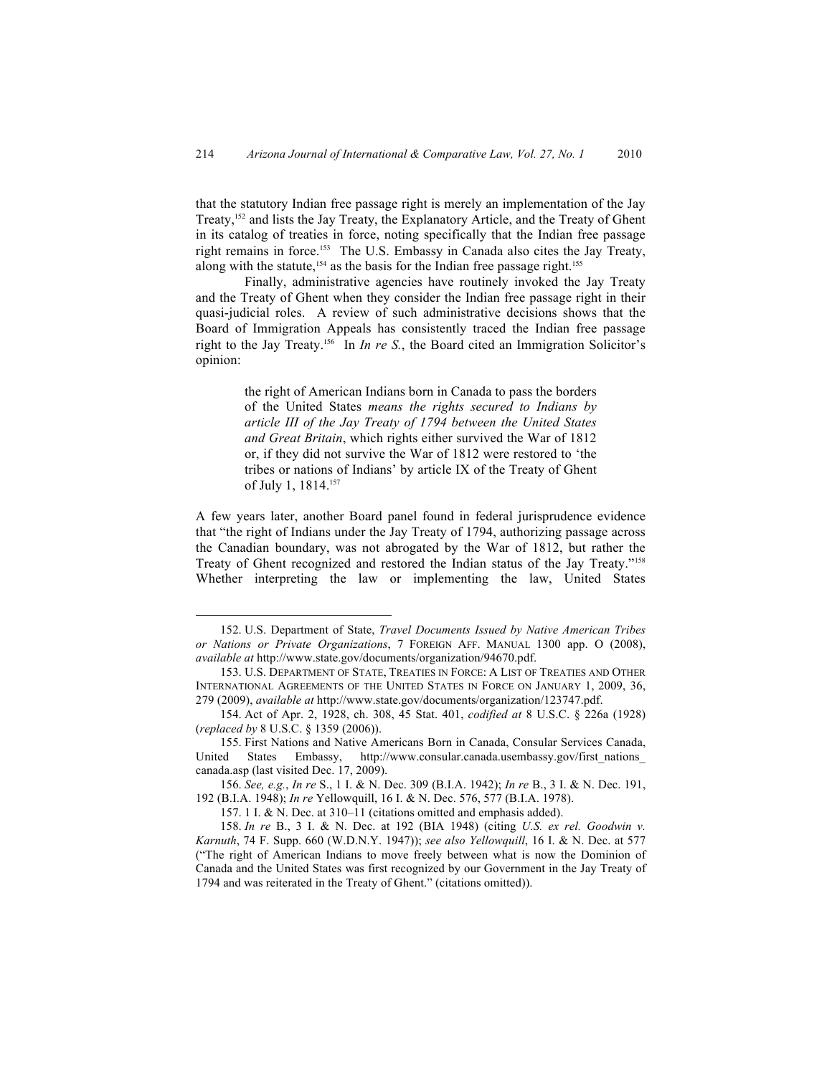that the statutory Indian free passage right is merely an implementation of the Jay Treaty,152 and lists the Jay Treaty, the Explanatory Article, and the Treaty of Ghent in its catalog of treaties in force, noting specifically that the Indian free passage right remains in force.153 The U.S. Embassy in Canada also cites the Jay Treaty, along with the statute,<sup>154</sup> as the basis for the Indian free passage right.<sup>155</sup>

Finally, administrative agencies have routinely invoked the Jay Treaty and the Treaty of Ghent when they consider the Indian free passage right in their quasi-judicial roles. A review of such administrative decisions shows that the Board of Immigration Appeals has consistently traced the Indian free passage right to the Jay Treaty.156 In *In re S.*, the Board cited an Immigration Solicitor's opinion:

> the right of American Indians born in Canada to pass the borders of the United States *means the rights secured to Indians by article III of the Jay Treaty of 1794 between the United States and Great Britain*, which rights either survived the War of 1812 or, if they did not survive the War of 1812 were restored to 'the tribes or nations of Indians' by article IX of the Treaty of Ghent of July 1, 1814.<sup>157</sup>

A few years later, another Board panel found in federal jurisprudence evidence that "the right of Indians under the Jay Treaty of 1794, authorizing passage across the Canadian boundary, was not abrogated by the War of 1812, but rather the Treaty of Ghent recognized and restored the Indian status of the Jay Treaty."<sup>158</sup> Whether interpreting the law or implementing the law, United States

<sup>152.</sup> U.S. Department of State, *Travel Documents Issued by Native American Tribes or Nations or Private Organizations*, 7 FOREIGN AFF. MANUAL 1300 app. O (2008), *available at* http://www.state.gov/documents/organization/94670.pdf.

<sup>153.</sup> U.S. DEPARTMENT OF STATE, TREATIES IN FORCE: A LIST OF TREATIES AND OTHER INTERNATIONAL AGREEMENTS OF THE UNITED STATES IN FORCE ON JANUARY 1, 2009, 36, 279 (2009), *available at* http://www.state.gov/documents/organization/123747.pdf.

<sup>154.</sup> Act of Apr. 2, 1928, ch. 308, 45 Stat. 401, *codified at* 8 U.S.C. § 226a (1928) (*replaced by* 8 U.S.C. § 1359 (2006)).

<sup>155.</sup> First Nations and Native Americans Born in Canada, Consular Services Canada, United States Embassy, http://www.consular.canada.usembassy.gov/first\_nations canada.asp (last visited Dec. 17, 2009).

<sup>156.</sup> *See, e.g.*, *In re* S., 1 I. & N. Dec. 309 (B.I.A. 1942); *In re* B., 3 I. & N. Dec. 191, 192 (B.I.A. 1948); *In re* Yellowquill, 16 I. & N. Dec. 576, 577 (B.I.A. 1978).

<sup>157.</sup> 1 I. & N. Dec. at 310–11 (citations omitted and emphasis added).

<sup>158.</sup> *In re* B., 3 I. & N. Dec. at 192 (BIA 1948) (citing *U.S. ex rel. Goodwin v. Karnuth*, 74 F. Supp. 660 (W.D.N.Y. 1947)); *see also Yellowquill*, 16 I. & N. Dec. at 577 ("The right of American Indians to move freely between what is now the Dominion of Canada and the United States was first recognized by our Government in the Jay Treaty of 1794 and was reiterated in the Treaty of Ghent." (citations omitted)).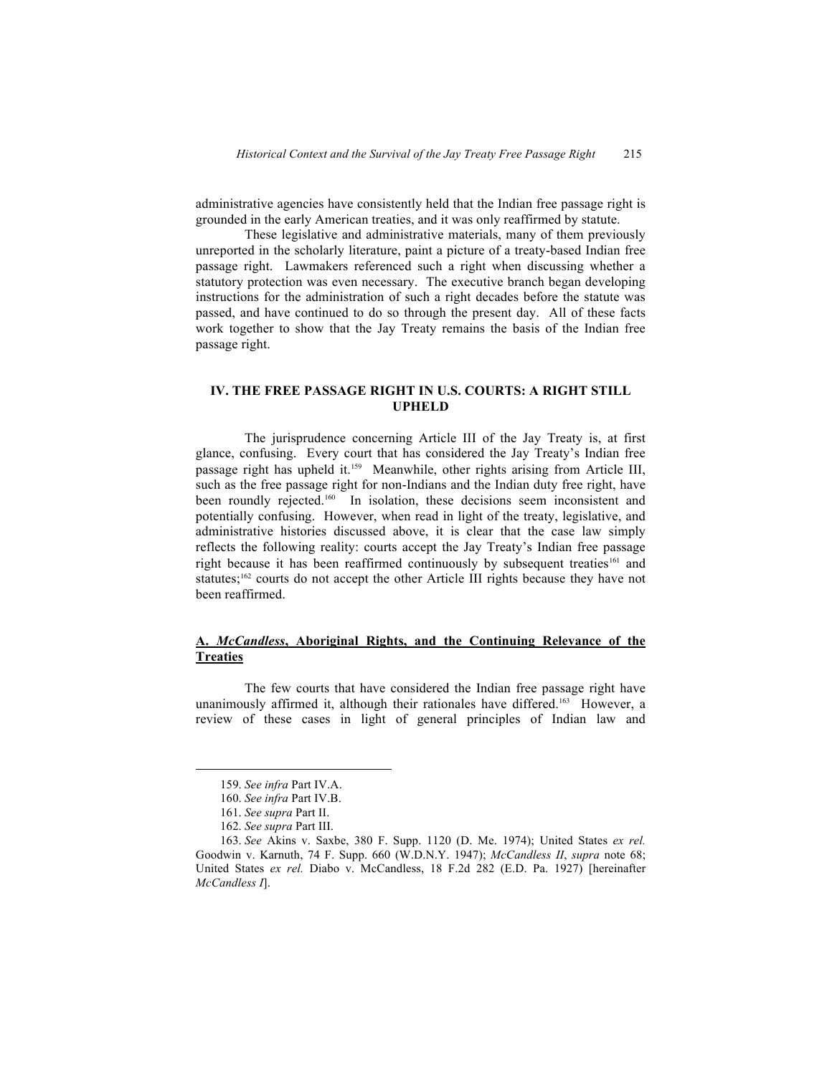administrative agencies have consistently held that the Indian free passage right is grounded in the early American treaties, and it was only reaffirmed by statute.

These legislative and administrative materials, many of them previously unreported in the scholarly literature, paint a picture of a treaty-based Indian free passage right. Lawmakers referenced such a right when discussing whether a statutory protection was even necessary. The executive branch began developing instructions for the administration of such a right decades before the statute was passed, and have continued to do so through the present day. All of these facts work together to show that the Jay Treaty remains the basis of the Indian free passage right.

# **IV. THE FREE PASSAGE RIGHT IN U.S. COURTS: A RIGHT STILL UPHELD**

The jurisprudence concerning Article III of the Jay Treaty is, at first glance, confusing. Every court that has considered the Jay Treaty's Indian free passage right has upheld it.159 Meanwhile, other rights arising from Article III, such as the free passage right for non-Indians and the Indian duty free right, have been roundly rejected.<sup>160</sup> In isolation, these decisions seem inconsistent and potentially confusing. However, when read in light of the treaty, legislative, and administrative histories discussed above, it is clear that the case law simply reflects the following reality: courts accept the Jay Treaty's Indian free passage right because it has been reaffirmed continuously by subsequent treaties<sup>161</sup> and statutes;<sup>162</sup> courts do not accept the other Article III rights because they have not been reaffirmed.

# **A.** *McCandless***, Aboriginal Rights, and the Continuing Relevance of the Treaties**

The few courts that have considered the Indian free passage right have unanimously affirmed it, although their rationales have differed.<sup>163</sup> However, a review of these cases in light of general principles of Indian law and

<sup>159.</sup> *See infra* Part IV.A.

<sup>160.</sup> *See infra* Part IV.B.

<sup>161.</sup> *See supra* Part II.

<sup>162.</sup> *See supra* Part III.

<sup>163.</sup> *See* Akins v. Saxbe, 380 F. Supp. 1120 (D. Me. 1974); United States *ex rel.* Goodwin v. Karnuth, 74 F. Supp. 660 (W.D.N.Y. 1947); *McCandless II*, *supra* note 68; United States *ex rel.* Diabo v. McCandless, 18 F.2d 282 (E.D. Pa. 1927) [hereinafter *McCandless I*].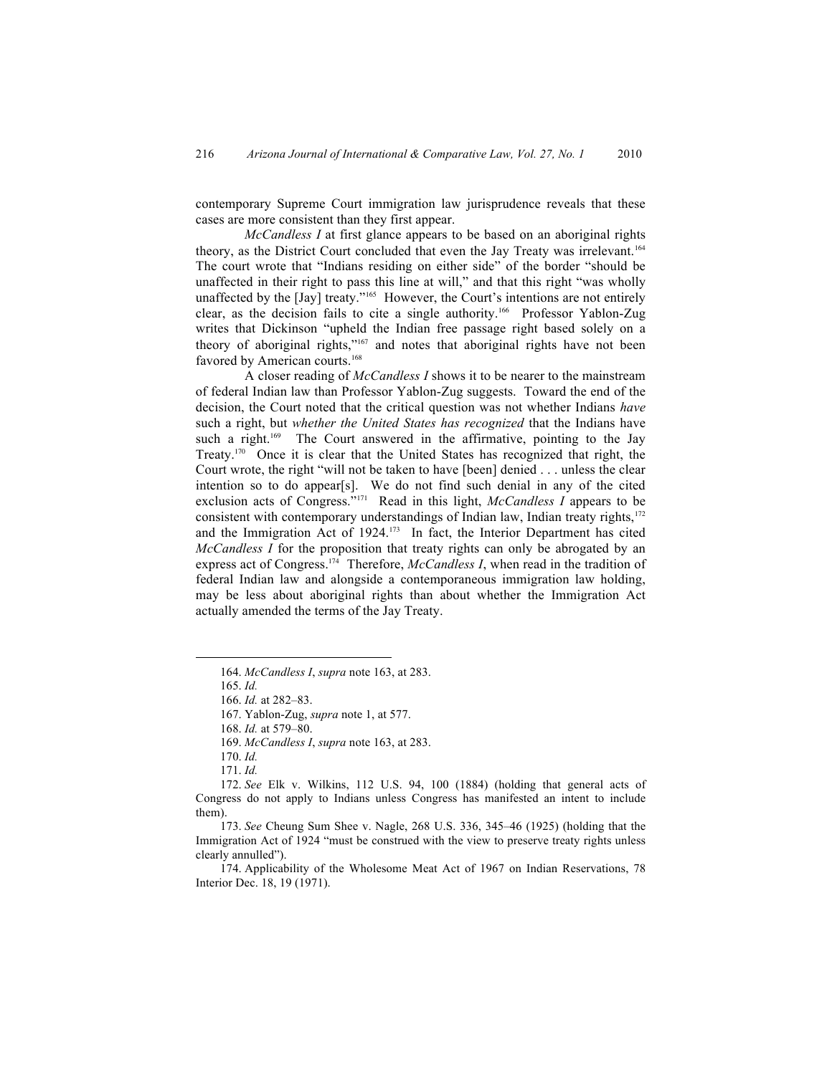contemporary Supreme Court immigration law jurisprudence reveals that these cases are more consistent than they first appear.

*McCandless I* at first glance appears to be based on an aboriginal rights theory, as the District Court concluded that even the Jay Treaty was irrelevant.<sup>164</sup> The court wrote that "Indians residing on either side" of the border "should be unaffected in their right to pass this line at will," and that this right "was wholly unaffected by the [Jay] treaty."165 However, the Court's intentions are not entirely clear, as the decision fails to cite a single authority.166 Professor Yablon-Zug writes that Dickinson "upheld the Indian free passage right based solely on a theory of aboriginal rights,"167 and notes that aboriginal rights have not been favored by American courts.<sup>168</sup>

A closer reading of *McCandless I* shows it to be nearer to the mainstream of federal Indian law than Professor Yablon-Zug suggests. Toward the end of the decision, the Court noted that the critical question was not whether Indians *have* such a right, but *whether the United States has recognized* that the Indians have such a right.<sup>169</sup> The Court answered in the affirmative, pointing to the Jay Treaty.170 Once it is clear that the United States has recognized that right, the Court wrote, the right "will not be taken to have [been] denied . . . unless the clear intention so to do appear[s]. We do not find such denial in any of the cited exclusion acts of Congress."171 Read in this light, *McCandless I* appears to be consistent with contemporary understandings of Indian law, Indian treaty rights,<sup>172</sup> and the Immigration Act of 1924.<sup>173</sup> In fact, the Interior Department has cited *McCandless I* for the proposition that treaty rights can only be abrogated by an express act of Congress.174 Therefore, *McCandless I*, when read in the tradition of federal Indian law and alongside a contemporaneous immigration law holding, may be less about aboriginal rights than about whether the Immigration Act actually amended the terms of the Jay Treaty.

<sup>164.</sup> *McCandless I*, *supra* note 163, at 283.

<sup>165.</sup> *Id.*

<sup>166.</sup> *Id.* at 282–83.

<sup>167.</sup> Yablon-Zug, *supra* note 1, at 577.

<sup>168.</sup> *Id.* at 579–80.

<sup>169.</sup> *McCandless I*, *supra* note 163, at 283.

<sup>170.</sup> *Id.*

<sup>171.</sup> *Id.*

<sup>172.</sup> *See* Elk v. Wilkins, 112 U.S. 94, 100 (1884) (holding that general acts of Congress do not apply to Indians unless Congress has manifested an intent to include them).

<sup>173.</sup> *See* Cheung Sum Shee v. Nagle, 268 U.S. 336, 345–46 (1925) (holding that the Immigration Act of 1924 "must be construed with the view to preserve treaty rights unless clearly annulled").

<sup>174.</sup> Applicability of the Wholesome Meat Act of 1967 on Indian Reservations, 78 Interior Dec. 18, 19 (1971).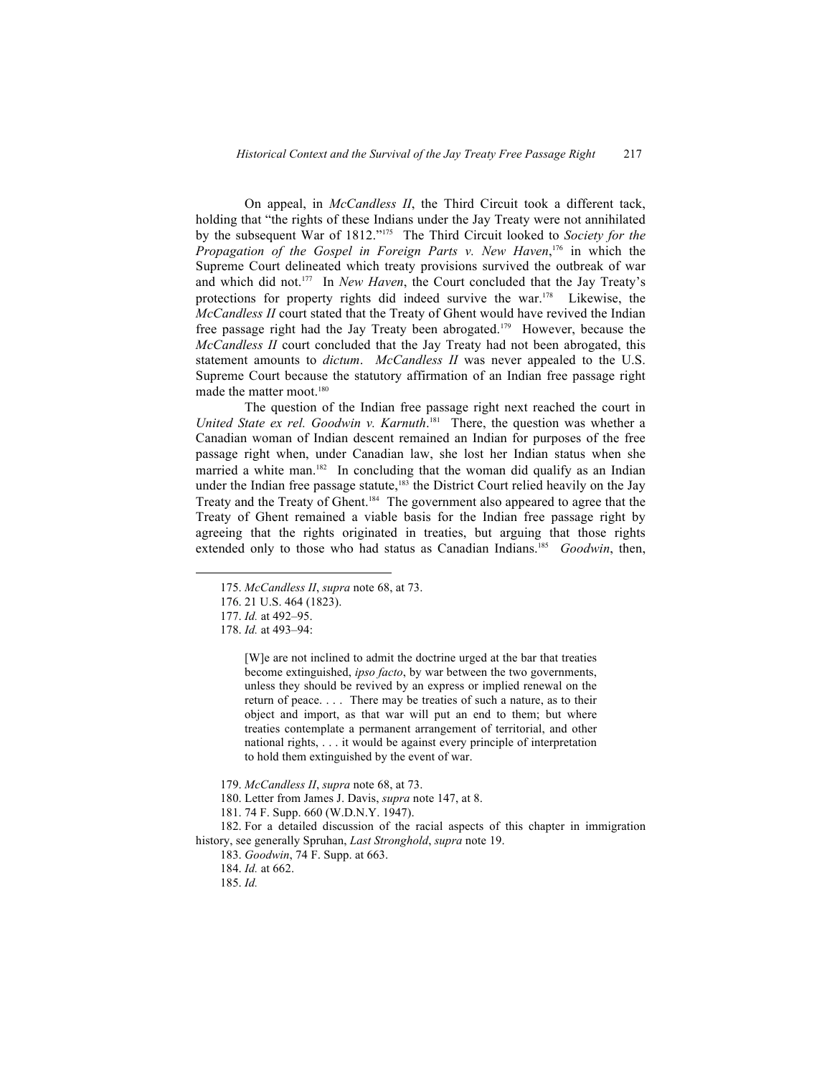On appeal, in *McCandless II*, the Third Circuit took a different tack, holding that "the rights of these Indians under the Jay Treaty were not annihilated by the subsequent War of 1812."175 The Third Circuit looked to *Society for the Propagation of the Gospel in Foreign Parts v. New Haven*, <sup>176</sup> in which the Supreme Court delineated which treaty provisions survived the outbreak of war and which did not.177 In *New Haven*, the Court concluded that the Jay Treaty's protections for property rights did indeed survive the war.178 Likewise, the *McCandless II* court stated that the Treaty of Ghent would have revived the Indian free passage right had the Jay Treaty been abrogated.179 However, because the *McCandless II* court concluded that the Jay Treaty had not been abrogated, this statement amounts to *dictum*. *McCandless II* was never appealed to the U.S. Supreme Court because the statutory affirmation of an Indian free passage right made the matter moot.<sup>180</sup>

The question of the Indian free passage right next reached the court in *United State ex rel. Goodwin v. Karnuth*. <sup>181</sup> There, the question was whether a Canadian woman of Indian descent remained an Indian for purposes of the free passage right when, under Canadian law, she lost her Indian status when she married a white man.<sup>182</sup> In concluding that the woman did qualify as an Indian under the Indian free passage statute,<sup>183</sup> the District Court relied heavily on the Jay Treaty and the Treaty of Ghent.184 The government also appeared to agree that the Treaty of Ghent remained a viable basis for the Indian free passage right by agreeing that the rights originated in treaties, but arguing that those rights extended only to those who had status as Canadian Indians.<sup>185</sup> *Goodwin*, then,

[W]e are not inclined to admit the doctrine urged at the bar that treaties become extinguished, *ipso facto*, by war between the two governments, unless they should be revived by an express or implied renewal on the return of peace. . . . There may be treaties of such a nature, as to their object and import, as that war will put an end to them; but where treaties contemplate a permanent arrangement of territorial, and other national rights, . . . it would be against every principle of interpretation to hold them extinguished by the event of war.

<sup>175.</sup> *McCandless II*, *supra* note 68, at 73.

<sup>176.</sup> 21 U.S. 464 (1823).

<sup>177.</sup> *Id.* at 492–95.

<sup>178.</sup> *Id.* at 493–94:

<sup>179.</sup> *McCandless II*, *supra* note 68, at 73.

<sup>180.</sup> Letter from James J. Davis, *supra* note 147, at 8.

<sup>181.</sup> 74 F. Supp. 660 (W.D.N.Y. 1947).

<sup>182.</sup> For a detailed discussion of the racial aspects of this chapter in immigration history, see generally Spruhan, *Last Stronghold*, *supra* note 19.

<sup>183.</sup> *Goodwin*, 74 F. Supp. at 663.

<sup>184.</sup> *Id.* at 662.

<sup>185.</sup> *Id.*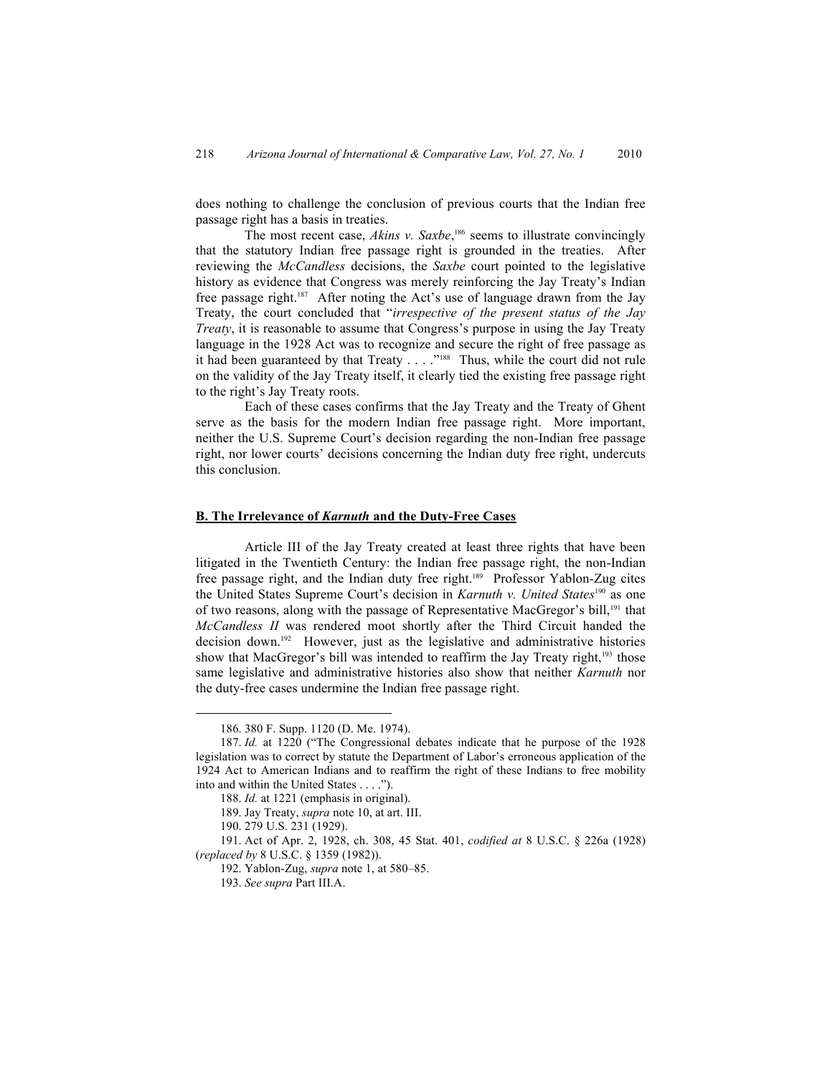does nothing to challenge the conclusion of previous courts that the Indian free passage right has a basis in treaties.

The most recent case, *Akins v. Saxbe*,<sup>186</sup> seems to illustrate convincingly that the statutory Indian free passage right is grounded in the treaties. After reviewing the *McCandless* decisions, the *Saxbe* court pointed to the legislative history as evidence that Congress was merely reinforcing the Jay Treaty's Indian free passage right.187 After noting the Act's use of language drawn from the Jay Treaty, the court concluded that "*irrespective of the present status of the Jay Treaty*, it is reasonable to assume that Congress's purpose in using the Jay Treaty language in the 1928 Act was to recognize and secure the right of free passage as it had been guaranteed by that Treaty . . . . "<sup>188</sup> Thus, while the court did not rule on the validity of the Jay Treaty itself, it clearly tied the existing free passage right to the right's Jay Treaty roots.

Each of these cases confirms that the Jay Treaty and the Treaty of Ghent serve as the basis for the modern Indian free passage right. More important, neither the U.S. Supreme Court's decision regarding the non-Indian free passage right, nor lower courts' decisions concerning the Indian duty free right, undercuts this conclusion.

## **B. The Irrelevance of** *Karnuth* **and the Duty-Free Cases**

Article III of the Jay Treaty created at least three rights that have been litigated in the Twentieth Century: the Indian free passage right, the non-Indian free passage right, and the Indian duty free right.<sup>189</sup> Professor Yablon-Zug cites the United States Supreme Court's decision in *Karnuth v. United States*190 as one of two reasons, along with the passage of Representative MacGregor's bill,<sup>191</sup> that *McCandless II* was rendered moot shortly after the Third Circuit handed the decision down.192 However, just as the legislative and administrative histories show that MacGregor's bill was intended to reaffirm the Jay Treaty right,<sup>193</sup> those same legislative and administrative histories also show that neither *Karnuth* nor the duty-free cases undermine the Indian free passage right.

<sup>186.</sup> 380 F. Supp. 1120 (D. Me. 1974).

<sup>187.</sup> *Id.* at 1220 ("The Congressional debates indicate that he purpose of the 1928 legislation was to correct by statute the Department of Labor's erroneous application of the 1924 Act to American Indians and to reaffirm the right of these Indians to free mobility into and within the United States . . . .").

<sup>188.</sup> *Id.* at 1221 (emphasis in original).

<sup>189.</sup> Jay Treaty, *supra* note 10, at art. III.

<sup>190.</sup> 279 U.S. 231 (1929).

<sup>191.</sup> Act of Apr. 2, 1928, ch. 308, 45 Stat. 401, *codified at* 8 U.S.C. § 226a (1928) (*replaced by* 8 U.S.C. § 1359 (1982)).

<sup>192.</sup> Yablon-Zug, *supra* note 1, at 580–85.

<sup>193.</sup> *See supra* Part III.A.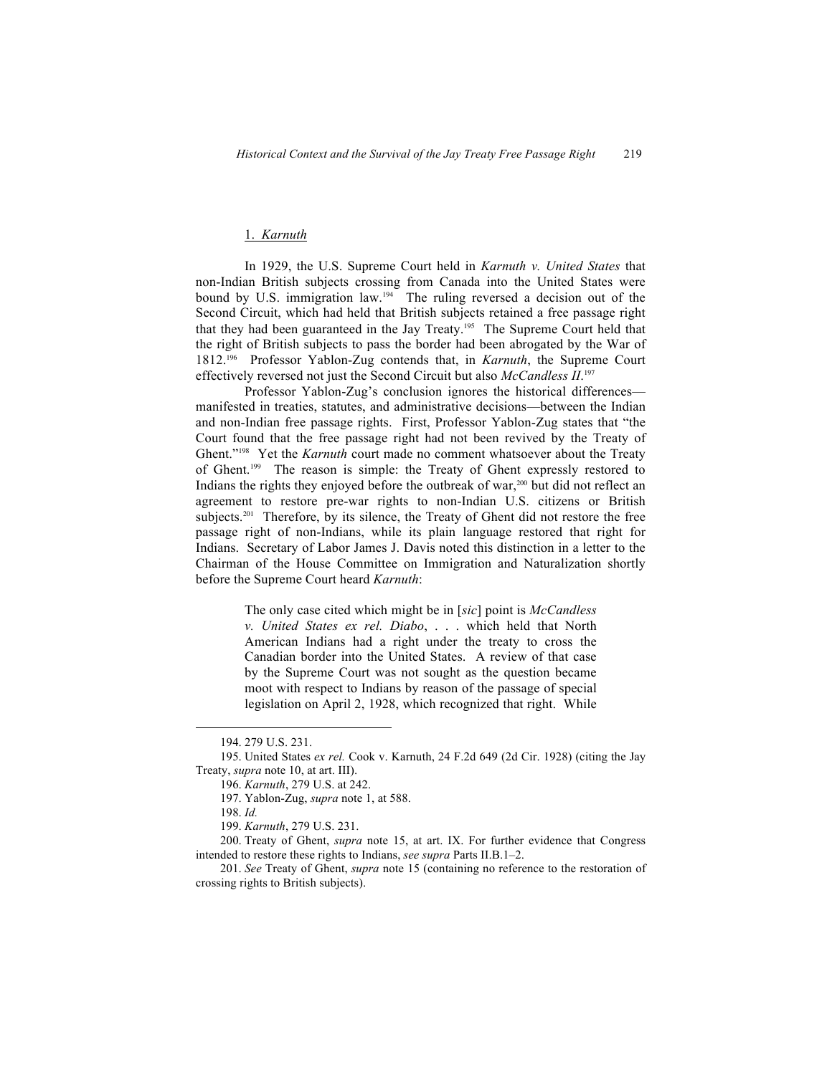# 1. *Karnuth*

In 1929, the U.S. Supreme Court held in *Karnuth v. United States* that non-Indian British subjects crossing from Canada into the United States were bound by U.S. immigration law.194 The ruling reversed a decision out of the Second Circuit, which had held that British subjects retained a free passage right that they had been guaranteed in the Jay Treaty.195 The Supreme Court held that the right of British subjects to pass the border had been abrogated by the War of 1812.196 Professor Yablon-Zug contends that, in *Karnuth*, the Supreme Court effectively reversed not just the Second Circuit but also *McCandless II*. 197

Professor Yablon-Zug's conclusion ignores the historical differences manifested in treaties, statutes, and administrative decisions—between the Indian and non-Indian free passage rights. First, Professor Yablon-Zug states that "the Court found that the free passage right had not been revived by the Treaty of Ghent."198 Yet the *Karnuth* court made no comment whatsoever about the Treaty of Ghent.199 The reason is simple: the Treaty of Ghent expressly restored to Indians the rights they enjoyed before the outbreak of war, $200$  but did not reflect an agreement to restore pre-war rights to non-Indian U.S. citizens or British subjects.<sup>201</sup> Therefore, by its silence, the Treaty of Ghent did not restore the free passage right of non-Indians, while its plain language restored that right for Indians. Secretary of Labor James J. Davis noted this distinction in a letter to the Chairman of the House Committee on Immigration and Naturalization shortly before the Supreme Court heard *Karnuth*:

> The only case cited which might be in [*sic*] point is *McCandless v. United States ex rel. Diabo*, . . . which held that North American Indians had a right under the treaty to cross the Canadian border into the United States. A review of that case by the Supreme Court was not sought as the question became moot with respect to Indians by reason of the passage of special legislation on April 2, 1928, which recognized that right. While

<sup>194.</sup> 279 U.S. 231.

<sup>195.</sup> United States *ex rel.* Cook v. Karnuth, 24 F.2d 649 (2d Cir. 1928) (citing the Jay Treaty, *supra* note 10, at art. III).

<sup>196.</sup> *Karnuth*, 279 U.S. at 242.

<sup>197.</sup> Yablon-Zug, *supra* note 1, at 588.

<sup>198.</sup> *Id.*

<sup>199.</sup> *Karnuth*, 279 U.S. 231.

<sup>200.</sup> Treaty of Ghent, *supra* note 15, at art. IX. For further evidence that Congress intended to restore these rights to Indians, *see supra* Parts II.B.1–2.

<sup>201.</sup> *See* Treaty of Ghent, *supra* note 15 (containing no reference to the restoration of crossing rights to British subjects).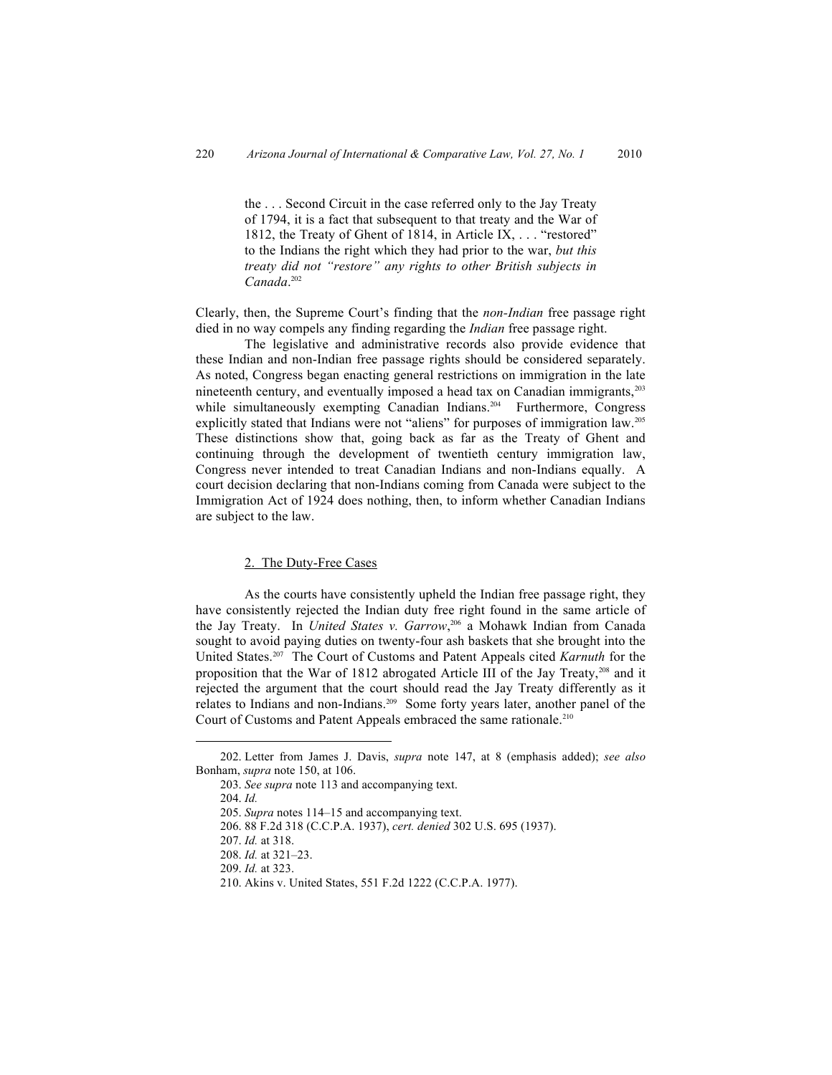the . . . Second Circuit in the case referred only to the Jay Treaty of 1794, it is a fact that subsequent to that treaty and the War of 1812, the Treaty of Ghent of 1814, in Article IX, . . . "restored" to the Indians the right which they had prior to the war, *but this treaty did not "restore" any rights to other British subjects in Canada*. 202

Clearly, then, the Supreme Court's finding that the *non-Indian* free passage right died in no way compels any finding regarding the *Indian* free passage right.

The legislative and administrative records also provide evidence that these Indian and non-Indian free passage rights should be considered separately. As noted, Congress began enacting general restrictions on immigration in the late nineteenth century, and eventually imposed a head tax on Canadian immigrants,<sup>203</sup> while simultaneously exempting Canadian Indians.<sup>204</sup> Furthermore, Congress explicitly stated that Indians were not "aliens" for purposes of immigration law.<sup>205</sup> These distinctions show that, going back as far as the Treaty of Ghent and continuing through the development of twentieth century immigration law, Congress never intended to treat Canadian Indians and non-Indians equally. A court decision declaring that non-Indians coming from Canada were subject to the Immigration Act of 1924 does nothing, then, to inform whether Canadian Indians are subject to the law.

#### 2. The Duty-Free Cases

As the courts have consistently upheld the Indian free passage right, they have consistently rejected the Indian duty free right found in the same article of the Jay Treaty. In *United States v. Garrow*,<sup>206</sup> a Mohawk Indian from Canada sought to avoid paying duties on twenty-four ash baskets that she brought into the United States.207 The Court of Customs and Patent Appeals cited *Karnuth* for the proposition that the War of 1812 abrogated Article III of the Jay Treaty,<sup>208</sup> and it rejected the argument that the court should read the Jay Treaty differently as it relates to Indians and non-Indians.209 Some forty years later, another panel of the Court of Customs and Patent Appeals embraced the same rationale.<sup>210</sup>

<sup>202.</sup> Letter from James J. Davis, *supra* note 147, at 8 (emphasis added); *see also* Bonham, *supra* note 150, at 106.

<sup>203.</sup> *See supra* note 113 and accompanying text.

<sup>204.</sup> *Id.*

<sup>205.</sup> *Supra* notes 114–15 and accompanying text.

<sup>206.</sup> 88 F.2d 318 (C.C.P.A. 1937), *cert. denied* 302 U.S. 695 (1937).

<sup>207.</sup> *Id.* at 318.

<sup>208.</sup> *Id.* at 321–23.

<sup>209.</sup> *Id.* at 323.

<sup>210.</sup> Akins v. United States, 551 F.2d 1222 (C.C.P.A. 1977).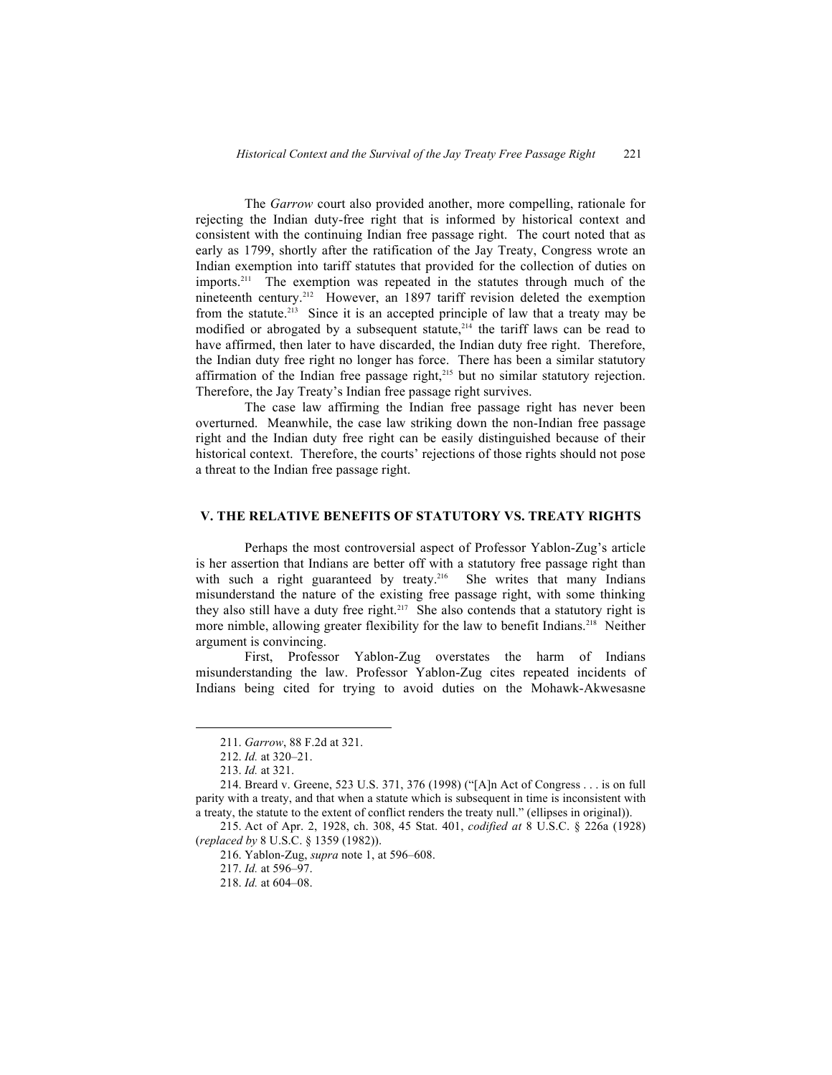The *Garrow* court also provided another, more compelling, rationale for rejecting the Indian duty-free right that is informed by historical context and consistent with the continuing Indian free passage right. The court noted that as early as 1799, shortly after the ratification of the Jay Treaty, Congress wrote an Indian exemption into tariff statutes that provided for the collection of duties on imports.<sup>211</sup> The exemption was repeated in the statutes through much of the nineteenth century.<sup>212</sup> However, an 1897 tariff revision deleted the exemption from the statute.<sup>213</sup> Since it is an accepted principle of law that a treaty may be modified or abrogated by a subsequent statute, $214$  the tariff laws can be read to have affirmed, then later to have discarded, the Indian duty free right. Therefore, the Indian duty free right no longer has force. There has been a similar statutory affirmation of the Indian free passage right,<sup>215</sup> but no similar statutory rejection. Therefore, the Jay Treaty's Indian free passage right survives.

The case law affirming the Indian free passage right has never been overturned. Meanwhile, the case law striking down the non-Indian free passage right and the Indian duty free right can be easily distinguished because of their historical context. Therefore, the courts' rejections of those rights should not pose a threat to the Indian free passage right.

### **V. THE RELATIVE BENEFITS OF STATUTORY VS. TREATY RIGHTS**

Perhaps the most controversial aspect of Professor Yablon-Zug's article is her assertion that Indians are better off with a statutory free passage right than with such a right guaranteed by treaty.<sup>216</sup> She writes that many Indians misunderstand the nature of the existing free passage right, with some thinking they also still have a duty free right.<sup>217</sup> She also contends that a statutory right is more nimble, allowing greater flexibility for the law to benefit Indians.<sup>218</sup> Neither argument is convincing.

First, Professor Yablon-Zug overstates the harm of Indians misunderstanding the law. Professor Yablon-Zug cites repeated incidents of Indians being cited for trying to avoid duties on the Mohawk-Akwesasne

 211. *Garrow*, 88 F.2d at 321.

<sup>212.</sup> *Id.* at 320–21.

<sup>213.</sup> *Id.* at 321.

<sup>214.</sup> Breard v. Greene, 523 U.S. 371, 376 (1998) ("[A]n Act of Congress . . . is on full parity with a treaty, and that when a statute which is subsequent in time is inconsistent with a treaty, the statute to the extent of conflict renders the treaty null." (ellipses in original)).

<sup>215.</sup> Act of Apr. 2, 1928, ch. 308, 45 Stat. 401, *codified at* 8 U.S.C. § 226a (1928) (*replaced by* 8 U.S.C. § 1359 (1982)).

<sup>216.</sup> Yablon-Zug, *supra* note 1, at 596–608.

<sup>217.</sup> *Id.* at 596–97.

<sup>218.</sup> *Id.* at 604–08.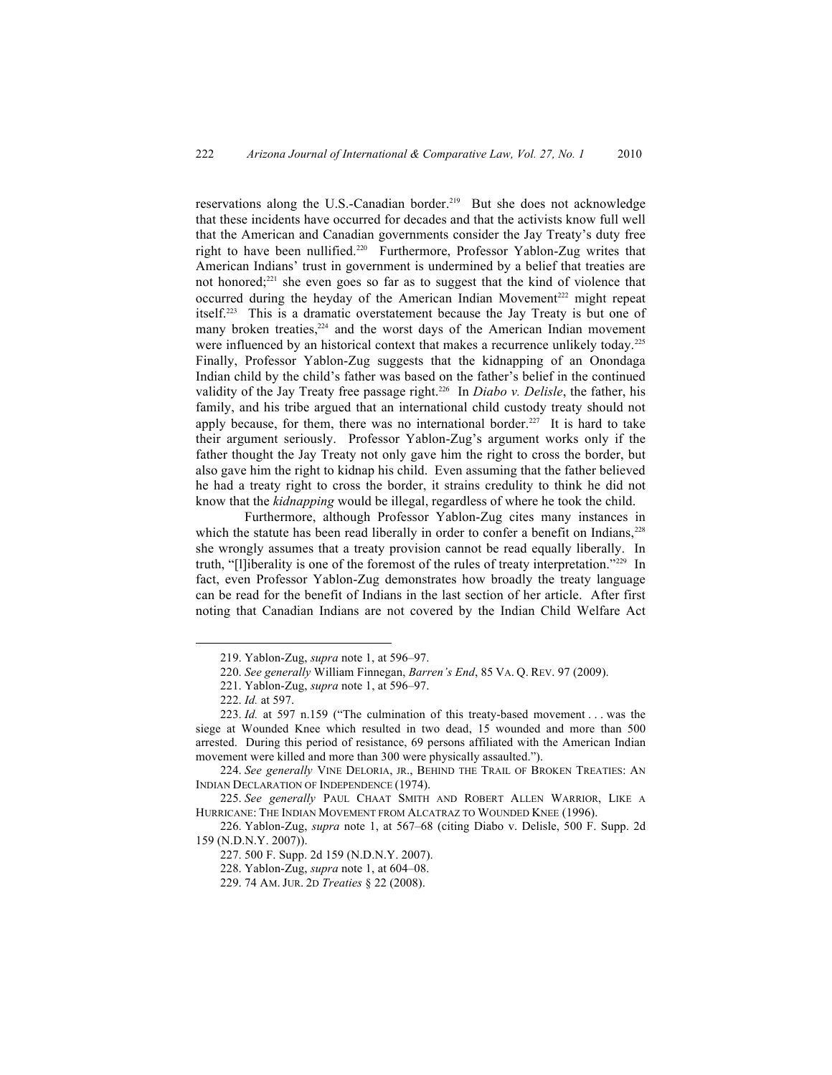reservations along the U.S.-Canadian border.219 But she does not acknowledge that these incidents have occurred for decades and that the activists know full well that the American and Canadian governments consider the Jay Treaty's duty free right to have been nullified.<sup>220</sup> Furthermore, Professor Yablon-Zug writes that American Indians' trust in government is undermined by a belief that treaties are not honored;221 she even goes so far as to suggest that the kind of violence that occurred during the heyday of the American Indian Movement<sup>222</sup> might repeat itself.223 This is a dramatic overstatement because the Jay Treaty is but one of many broken treaties,<sup>224</sup> and the worst days of the American Indian movement were influenced by an historical context that makes a recurrence unlikely today.<sup>225</sup> Finally, Professor Yablon-Zug suggests that the kidnapping of an Onondaga Indian child by the child's father was based on the father's belief in the continued validity of the Jay Treaty free passage right.<sup>226</sup> In *Diabo v. Delisle*, the father, his family, and his tribe argued that an international child custody treaty should not apply because, for them, there was no international border.<sup>227</sup> It is hard to take their argument seriously. Professor Yablon-Zug's argument works only if the father thought the Jay Treaty not only gave him the right to cross the border, but also gave him the right to kidnap his child. Even assuming that the father believed he had a treaty right to cross the border, it strains credulity to think he did not know that the *kidnapping* would be illegal, regardless of where he took the child.

Furthermore, although Professor Yablon-Zug cites many instances in which the statute has been read liberally in order to confer a benefit on Indians, $^{228}$ she wrongly assumes that a treaty provision cannot be read equally liberally. In truth, "[l]iberality is one of the foremost of the rules of treaty interpretation."229 In fact, even Professor Yablon-Zug demonstrates how broadly the treaty language can be read for the benefit of Indians in the last section of her article. After first noting that Canadian Indians are not covered by the Indian Child Welfare Act

<sup>219.</sup> Yablon-Zug, *supra* note 1, at 596–97.

<sup>220.</sup> *See generally* William Finnegan, *Barren's End*, 85 VA. Q. REV. 97 (2009).

<sup>221.</sup> Yablon-Zug, *supra* note 1, at 596–97.

<sup>222.</sup> *Id.* at 597.

<sup>223.</sup> *Id.* at 597 n.159 ("The culmination of this treaty-based movement . . . was the siege at Wounded Knee which resulted in two dead, 15 wounded and more than 500 arrested. During this period of resistance, 69 persons affiliated with the American Indian movement were killed and more than 300 were physically assaulted.").

<sup>224.</sup> *See generally* VINE DELORIA, JR., BEHIND THE TRAIL OF BROKEN TREATIES: AN INDIAN DECLARATION OF INDEPENDENCE (1974).

<sup>225.</sup> *See generally* PAUL CHAAT SMITH AND ROBERT ALLEN WARRIOR, LIKE A HURRICANE: THE INDIAN MOVEMENT FROM ALCATRAZ TO WOUNDED KNEE (1996).

<sup>226.</sup> Yablon-Zug, *supra* note 1, at 567–68 (citing Diabo v. Delisle, 500 F. Supp. 2d 159 (N.D.N.Y. 2007)).

<sup>227.</sup> 500 F. Supp. 2d 159 (N.D.N.Y. 2007).

<sup>228.</sup> Yablon-Zug, *supra* note 1, at 604–08.

<sup>229.</sup> 74 AM. JUR. 2D *Treaties* § 22 (2008).